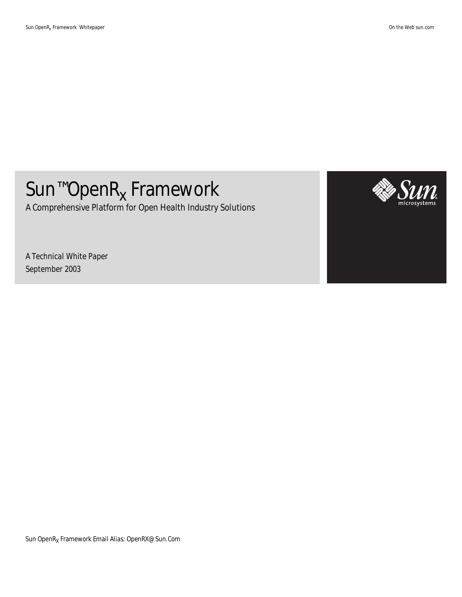# Sun<sup>™</sup> OpenR<sub>x</sub> Framework

A Comprehensive Platform for Open Health Industry Solutions

 $\sum_{\alpha\in\mathcal{D}}$ 

A Technical White Paper September 2003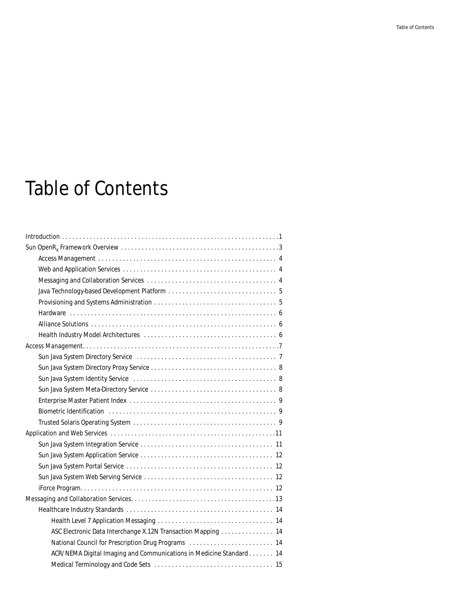# **Table of Contents**

| ASC Electronic Data Interchange X.12N Transaction Mapping 14        |
|---------------------------------------------------------------------|
| National Council for Prescription Drug Programs  14                 |
| ACR/NEMA Digital Imaging and Communications in Medicine Standard 14 |
|                                                                     |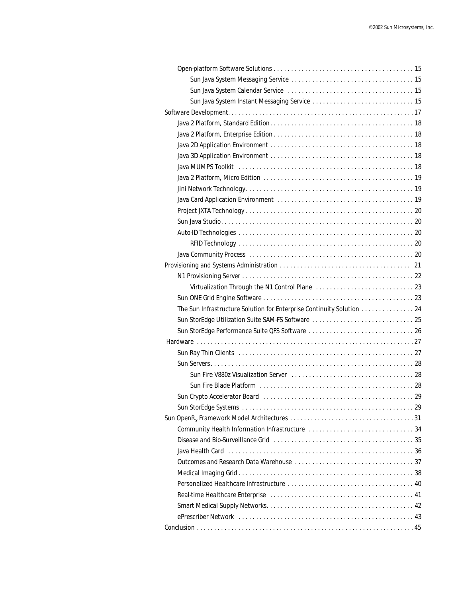| Java Card Application Environment (and accommodation of the Card Card Application Fig. 19) |  |
|--------------------------------------------------------------------------------------------|--|
|                                                                                            |  |
|                                                                                            |  |
|                                                                                            |  |
|                                                                                            |  |
|                                                                                            |  |
|                                                                                            |  |
|                                                                                            |  |
|                                                                                            |  |
|                                                                                            |  |
|                                                                                            |  |
| The Sun Infrastructure Solution for Enterprise Continuity Solution 24                      |  |
|                                                                                            |  |
|                                                                                            |  |
|                                                                                            |  |
|                                                                                            |  |
|                                                                                            |  |
|                                                                                            |  |
|                                                                                            |  |
|                                                                                            |  |
|                                                                                            |  |
|                                                                                            |  |
|                                                                                            |  |
|                                                                                            |  |
|                                                                                            |  |
|                                                                                            |  |
|                                                                                            |  |
|                                                                                            |  |
|                                                                                            |  |
|                                                                                            |  |
|                                                                                            |  |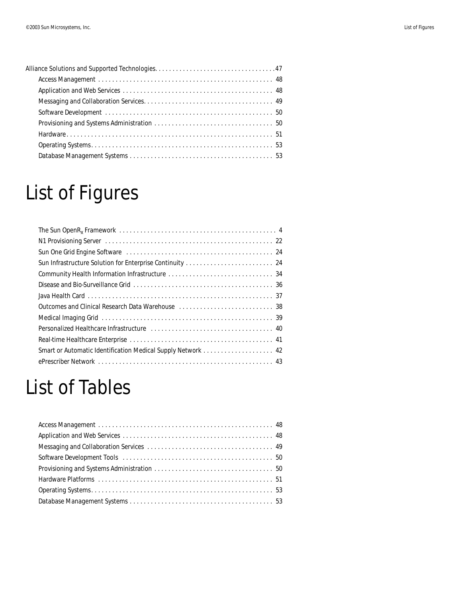# **List of Figures**

| Smart or Automatic Identification Medical Supply Network 42 |
|-------------------------------------------------------------|
|                                                             |

# **List of Tables**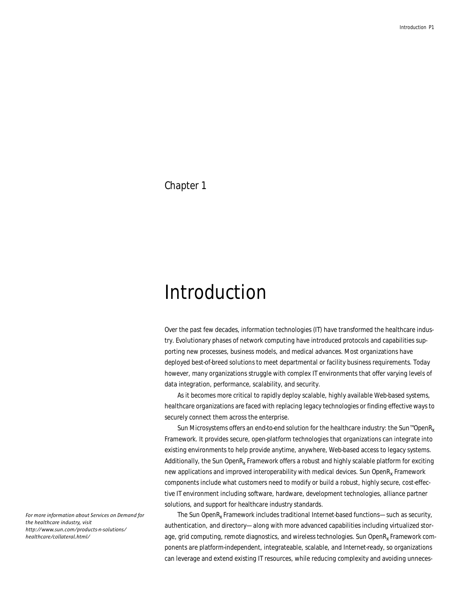#### Chapter 1

# **Introduction**

Over the past few decades, information technologies (IT) have transformed the healthcare industry. Evolutionary phases of network computing have introduced protocols and capabilities supporting new processes, business models, and medical advances. Most organizations have deployed best-of-breed solutions to meet departmental or facility business requirements. Today however, many organizations struggle with complex IT environments that offer varying levels of data integration, performance, scalability, and security.

As it becomes more critical to rapidly deploy scalable, highly available Web-based systems, healthcare organizations are faced with replacing legacy technologies or finding effective ways to securely connect them across the enterprise.

Sun Microsystems offers an end-to-end solution for the healthcare industry: the Sun<sup>™</sup> OpenR<sub>y</sub> Framework. It provides secure, open-platform technologies that organizations can integrate into existing environments to help provide anytime, anywhere, Web-based access to legacy systems. Additionally, the Sun OpenR<sub>x</sub> Framework offers a robust and highly scalable platform for exciting new applications and improved interoperability with medical devices. Sun OpenR<sub>x</sub> Framework components include what customers need to modify or build a robust, highly secure, cost-effective IT environment including software, hardware, development technologies, alliance partner solutions, and support for healthcare industry standards.

The Sun OpenRx Framework includes traditional Internet-based functions—such as security, authentication, and directory—along with more advanced capabilities including virtualized storage, grid computing, remote diagnostics, and wireless technologies. Sun OpenR<sub>y</sub> Framework components are platform-independent, integrateable, scalable, and Internet-ready, so organizations can leverage and extend existing IT resources, while reducing complexity and avoiding unneces-

*For more information about Services on Demand for the healthcare industry, visit http://www.sun.com/products-n-solutions/ healthcare/collateral.html/*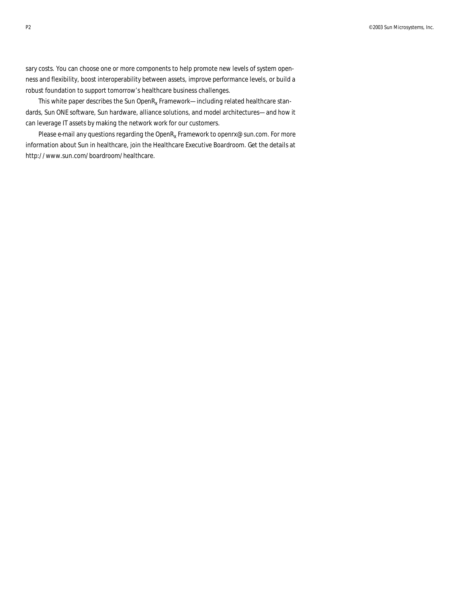sary costs. You can choose one or more components to help promote new levels of system openness and flexibility, boost interoperability between assets, improve performance levels, or build a robust foundation to support tomorrow's healthcare business challenges.

This white paper describes the Sun Open $R_x$  Framework—including related healthcare standards, Sun ONE software, Sun hardware, alliance solutions, and model architectures—and how it can leverage IT assets by making the network work for our customers.

Please e-mail any questions regarding the OpenR<sub>x</sub> Framework to openrx@sun.com. For more information about Sun in healthcare, join the Healthcare Executive Boardroom. Get the details at http://www.sun.com/boardroom/healthcare.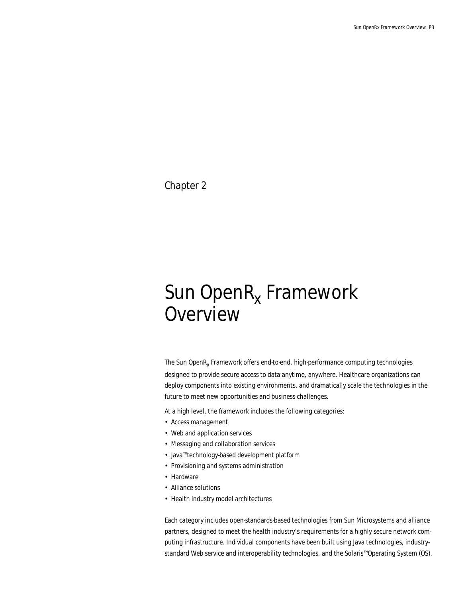### Chapter 2

# **Sun OpenR<sub>x</sub> Framework Overview**

The Sun OpenR<sub>x</sub> Framework offers end-to-end, high-performance computing technologies designed to provide secure access to data anytime, anywhere. Healthcare organizations can deploy components into existing environments, and dramatically scale the technologies in the future to meet new opportunities and business challenges.

At a high level, the framework includes the following categories:

- Access management
- Web and application services
- Messaging and collaboration services
- Java™ technology-based development platform
- Provisioning and systems administration
- Hardware
- Alliance solutions
- Health industry model architectures

Each category includes open-standards-based technologies from Sun Microsystems and alliance partners, designed to meet the health industry's requirements for a highly secure network computing infrastructure. Individual components have been built using Java technologies, industrystandard Web service and interoperability technologies, and the Solaris™ Operating System (OS).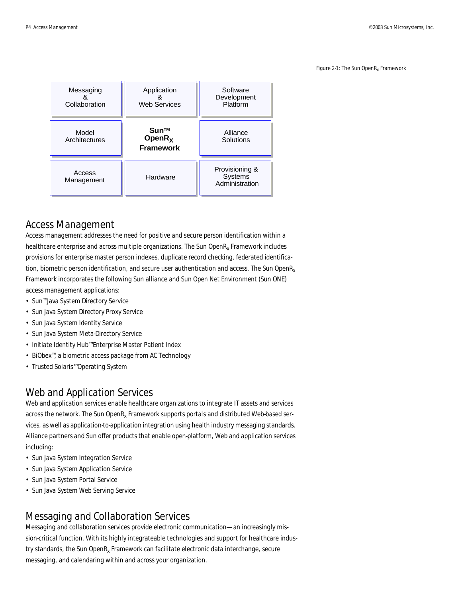#### Figure 2-1: The Sun OpenR<sub>x</sub> Framework



### Access Management

Access management addresses the need for positive and secure person identification within a healthcare enterprise and across multiple organizations. The Sun OpenRx Framework includes provisions for enterprise master person indexes, duplicate record checking, federated identification, biometric person identification, and secure user authentication and access. The Sun OpenR<sub>x</sub> Framework incorporates the following Sun alliance and Sun Open Net Environment (Sun ONE) access management applications:

- Sun™ Java System Directory Service
- Sun Java System Directory Proxy Service
- Sun Java System Identity Service
- Sun Java System Meta-Directory Service
- Initiate Identity Hub™ Enterprise Master Patient Index
- BiObex™, a biometric access package from AC Technology
- Trusted Solaris™ Operating System

## Web and Application Services

Web and application services enable healthcare organizations to integrate IT assets and services across the network. The Sun OpenR<sub>x</sub> Framework supports portals and distributed Web-based services, as well as application-to-application integration using health industry messaging standards. Alliance partners and Sun offer products that enable open-platform, Web and application services including:

- Sun Java System Integration Service
- Sun Java System Application Service
- Sun Java System Portal Service
- Sun Java System Web Serving Service

## Messaging and Collaboration Services

Messaging and collaboration services provide electronic communication—an increasingly mission-critical function. With its highly integrateable technologies and support for healthcare industry standards, the Sun Open $R_x$  Framework can facilitate electronic data interchange, secure messaging, and calendaring within and across your organization.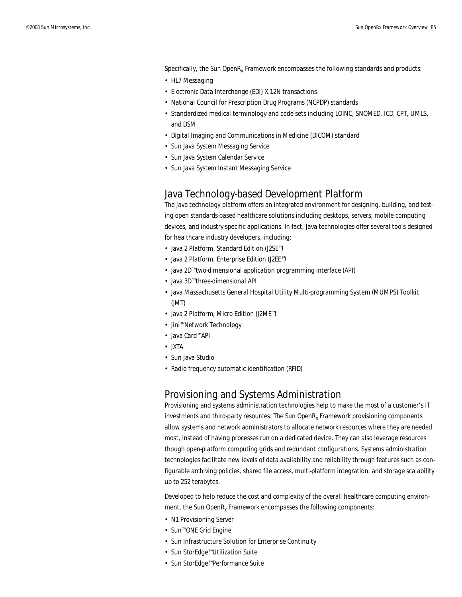Specifically, the Sun Open $R_x$  Framework encompasses the following standards and products:

- HL7 Messaging
- Electronic Data Interchange (EDI) X.12N transactions
- National Council for Prescription Drug Programs (NCPDP) standards
- Standardized medical terminology and code sets including LOINC, SNOMED, ICD, CPT, UMLS, and DSM
- Digital Imaging and Communications in Medicine (DICOM) standard
- Sun Java System Messaging Service
- Sun Java System Calendar Service
- Sun Java System Instant Messaging Service

#### Java Technology-based Development Platform

The Java technology platform offers an integrated environment for designing, building, and testing open standards-based healthcare solutions including desktops, servers, mobile computing devices, and industry-specific applications. In fact, Java technologies offer several tools designed for healthcare industry developers, including:

- Java 2 Platform, Standard Edition (J2SE™)
- Java 2 Platform, Enterprise Edition (J2EE™)
- Java 2D™ two-dimensional application programming interface (API)
- Java 3D™ three-dimensional API
- Java Massachusetts General Hospital Utility Multi-programming System (MUMPS) Toolkit (jMT)
- Java 2 Platform, Micro Edition (J2ME™)
- Jini™ Network Technology
- Java Card™ API
- JXTA
- Sun Java Studio
- Radio frequency automatic identification (RFID)

#### Provisioning and Systems Administration

Provisioning and systems administration technologies help to make the most of a customer's IT  $investments$  and third-party resources. The Sun Open $R<sub>x</sub>$  Framework provisioning components allow systems and network administrators to allocate network resources where they are needed most, instead of having processes run on a dedicated device. They can also leverage resources though open-platform computing grids and redundant configurations. Systems administration technologies facilitate new levels of data availability and reliability through features such as configurable archiving policies, shared file access, multi-platform integration, and storage scalability up to 252 terabytes.

Developed to help reduce the cost and complexity of the overall healthcare computing environment, the Sun OpenR<sub>x</sub> Framework encompasses the following components:

- N1 Provisioning Server
- Sun™ ONE Grid Engine
- Sun Infrastructure Solution for Enterprise Continuity
- Sun StorEdge™ Utilization Suite
- Sun StorEdge™ Performance Suite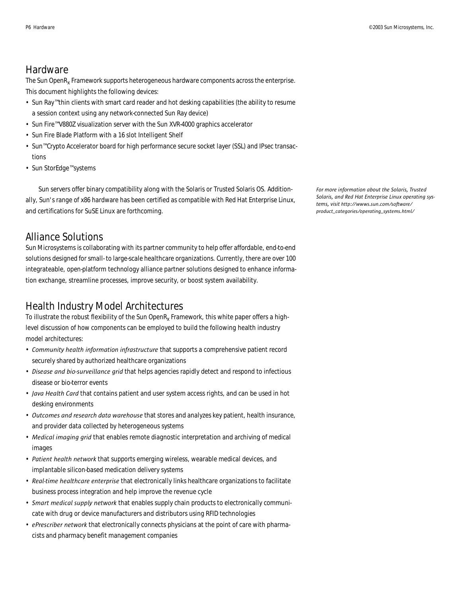#### Hardware

The Sun OpenRx Framework supports heterogeneous hardware components across the enterprise. This document highlights the following devices:

- Sun Ray™ thin clients with smart card reader and hot desking capabilities (the ability to resume a session context using any network-connected Sun Ray device)
- Sun Fire™ V880Z visualization server with the Sun XVR-4000 graphics accelerator
- Sun Fire Blade Platform with a 16 slot Intelligent Shelf
- Sun™ Crypto Accelerator board for high performance secure socket layer (SSL) and IPsec transactions
- Sun StorEdge™ systems

Sun servers offer binary compatibility along with the Solaris or Trusted Solaris OS. Additionally, Sun's range of x86 hardware has been certified as compatible with Red Hat Enterprise Linux, and certifications for SuSE Linux are forthcoming.

### Alliance Solutions

Sun Microsystems is collaborating with its partner community to help offer affordable, end-to-end solutions designed for small- to large-scale healthcare organizations. Currently, there are over 100 integrateable, open-platform technology alliance partner solutions designed to enhance information exchange, streamline processes, improve security, or boost system availability.

## Health Industry Model Architectures

To illustrate the robust flexibility of the Sun OpenR<sub>x</sub> Framework, this white paper offers a highlevel discussion of how components can be employed to build the following health industry model architectures:

- *Community health information infrastructure* that supports a comprehensive patient record securely shared by authorized healthcare organizations
- *Disease and bio-surveillance grid* that helps agencies rapidly detect and respond to infectious disease or bio-terror events
- *Java Health Card* that contains patient and user system access rights, and can be used in hot desking environments
- *Outcomes and research data warehouse* that stores and analyzes key patient, health insurance, and provider data collected by heterogeneous systems
- *Medical imaging grid* that enables remote diagnostic interpretation and archiving of medical images
- *Patient health network* that supports emerging wireless, wearable medical devices, and implantable silicon-based medication delivery systems
- *Real-time healthcare enterprise* that electronically links healthcare organizations to facilitate business process integration and help improve the revenue cycle
- *Smart medical supply network* that enables supply chain products to electronically communicate with drug or device manufacturers and distributors using RFID technologies
- *ePrescriber network* that electronically connects physicians at the point of care with pharmacists and pharmacy benefit management companies

*For more information about the Solaris, Trusted Solaris, and Red Hat Enterprise Linux operating systems, visit http://wwws.sun.com/software/ product\_categories/operating\_systems.html/*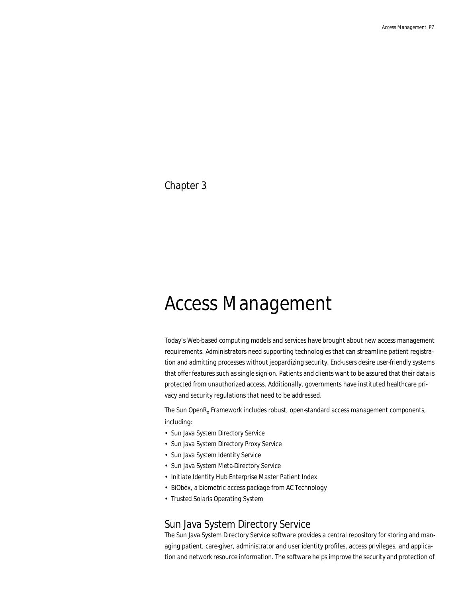## Chapter 3

## **Access Management**

Today's Web-based computing models and services have brought about new access management requirements. Administrators need supporting technologies that can streamline patient registration and admitting processes without jeopardizing security. End-users desire user-friendly systems that offer features such as single sign-on. Patients and clients want to be assured that their data is protected from unauthorized access. Additionally, governments have instituted healthcare privacy and security regulations that need to be addressed.

The Sun OpenR<sub>x</sub> Framework includes robust, open-standard access management components, including:

- Sun Java System Directory Service
- Sun Java System Directory Proxy Service
- Sun Java System Identity Service
- Sun Java System Meta-Directory Service
- Initiate Identity Hub Enterprise Master Patient Index
- BiObex, a biometric access package from AC Technology
- Trusted Solaris Operating System

#### Sun Java System Directory Service

The Sun Java System Directory Service software provides a central repository for storing and managing patient, care-giver, administrator and user identity profiles, access privileges, and application and network resource information. The software helps improve the security and protection of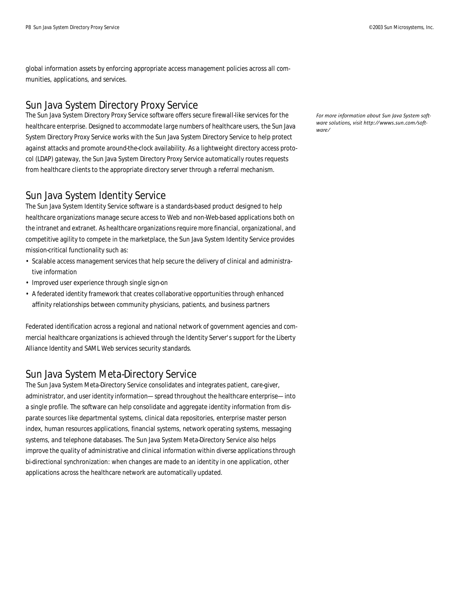global information assets by enforcing appropriate access management policies across all communities, applications, and services.

### Sun Java System Directory Proxy Service

The Sun Java System Directory Proxy Service software offers secure firewall-like services for the healthcare enterprise. Designed to accommodate large numbers of healthcare users, the Sun Java System Directory Proxy Service works with the Sun Java System Directory Service to help protect against attacks and promote around-the-clock availability. As a lightweight directory access protocol (LDAP) gateway, the Sun Java System Directory Proxy Service automatically routes requests from healthcare clients to the appropriate directory server through a referral mechanism.

### Sun Java System Identity Service

The Sun Java System Identity Service software is a standards-based product designed to help healthcare organizations manage secure access to Web and non-Web-based applications both on the intranet and extranet. As healthcare organizations require more financial, organizational, and competitive agility to compete in the marketplace, the Sun Java System Identity Service provides mission-critical functionality such as:

- Scalable access management services that help secure the delivery of clinical and administrative information
- Improved user experience through single sign-on
- A federated identity framework that creates collaborative opportunities through enhanced affinity relationships between community physicians, patients, and business partners

Federated identification across a regional and national network of government agencies and commercial healthcare organizations is achieved through the Identity Server's support for the Liberty Alliance Identity and SAML Web services security standards.

### Sun Java System Meta-Directory Service

The Sun Java System Meta-Directory Service consolidates and integrates patient, care-giver, administrator, and user identity information—spread throughout the healthcare enterprise—into a single profile. The software can help consolidate and aggregate identity information from disparate sources like departmental systems, clinical data repositories, enterprise master person index, human resources applications, financial systems, network operating systems, messaging systems, and telephone databases. The Sun Java System Meta-Directory Service also helps improve the quality of administrative and clinical information within diverse applications through bi-directional synchronization: when changes are made to an identity in one application, other applications across the healthcare network are automatically updated.

*For more information about Sun Java System software solutions, visit http://wwws.sun.com/software/*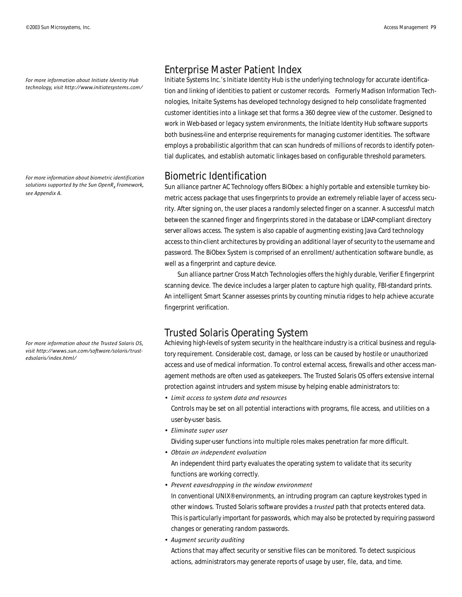*For more information about Initiate Identity Hub technology, visit http://www.initiatesystems.com/*

*For more information about biometric identification solutions supported by the Sun OpenRx Framework, see Appendix A.* 

*For more information about the Trusted Solaris OS, visit http://wwws.sun.com/software/solaris/trustedsolaris/index.html/*

### Enterprise Master Patient Index

Initiate Systems Inc.'s Initiate Identity Hub is the underlying technology for accurate identification and linking of identities to patient or customer records. Formerly Madison Information Technologies, Initaite Systems has developed technology designed to help consolidate fragmented customer identities into a linkage set that forms a 360 degree view of the customer. Designed to work in Web-based or legacy system environments, the Initiate Identity Hub software supports both business-line and enterprise requirements for managing customer identities. The software employs a probabilistic algorithm that can scan hundreds of millions of records to identify potential duplicates, and establish automatic linkages based on configurable threshold parameters.

#### Biometric Identification

Sun alliance partner AC Technology offers BiObex: a highly portable and extensible turnkey biometric access package that uses fingerprints to provide an extremely reliable layer of access security. After signing on, the user places a randomly selected finger on a scanner. A successful match between the scanned finger and fingerprints stored in the database or LDAP-compliant directory server allows access. The system is also capable of augmenting existing Java Card technology access to thin-client architectures by providing an additional layer of security to the username and password. The BiObex System is comprised of an enrollment/authentication software bundle, as well as a fingerprint and capture device.

Sun alliance partner Cross Match Technologies offers the highly durable, Verifier E fingerprint scanning device. The device includes a larger platen to capture high quality, FBI-standard prints. An intelligent Smart Scanner assesses prints by counting minutia ridges to help achieve accurate fingerprint verification.

## Trusted Solaris Operating System

Achieving high-levels of system security in the healthcare industry is a critical business and regulatory requirement. Considerable cost, damage, or loss can be caused by hostile or unauthorized access and use of medical information. To control external access, firewalls and other access management methods are often used as gatekeepers. The Trusted Solaris OS offers extensive internal protection against intruders and system misuse by helping enable administrators to:

*• Limit access to system data and resources*

Controls may be set on all potential interactions with programs, file access, and utilities on a user-by-user basis.

*• Eliminate super user*

Dividing super-user functions into multiple roles makes penetration far more difficult.

*• Obtain an independent evaluation*  An independent third party evaluates the operating system to validate that its security

functions are working correctly.

*• Prevent eavesdropping in the window environment*

In conventional UNIX® environments, an intruding program can capture keystrokes typed in other windows. Trusted Solaris software provides a *trusted* path that protects entered data. This is particularly important for passwords, which may also be protected by requiring password changes or generating random passwords.

*• Augment security auditing*

Actions that may affect security or sensitive files can be monitored. To detect suspicious actions, administrators may generate reports of usage by user, file, data, and time.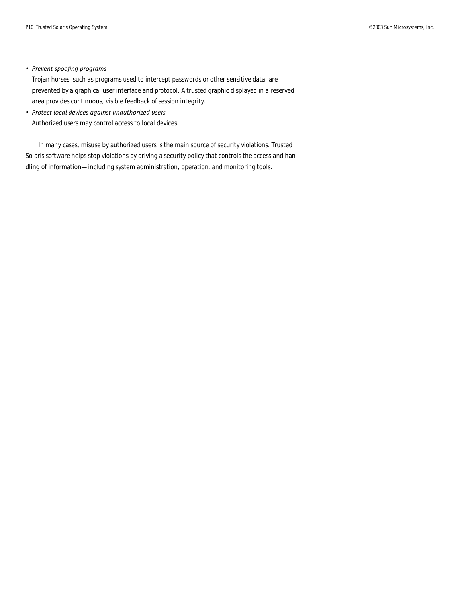• *Prevent spoofing programs*

Trojan horses, such as programs used to intercept passwords or other sensitive data, are prevented by a graphical user interface and protocol. A trusted graphic displayed in a reserved area provides continuous, visible feedback of session integrity.

• *Protect local devices against unauthorized users* Authorized users may control access to local devices.

In many cases, misuse by authorized users is the main source of security violations. Trusted Solaris software helps stop violations by driving a security policy that controls the access and handling of information—including system administration, operation, and monitoring tools.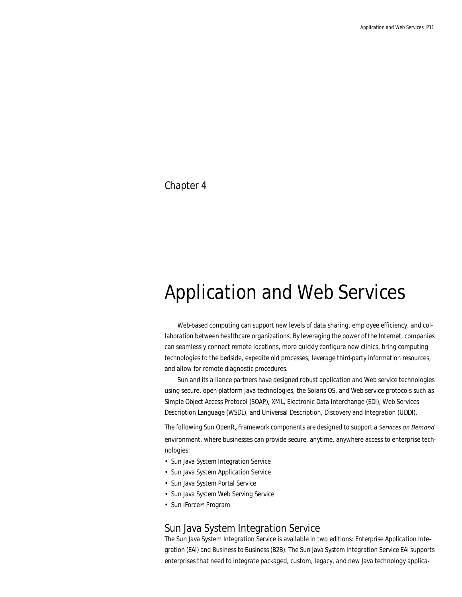#### Chapter 4

# **Application and Web Services**

Web-based computing can support new levels of data sharing, employee efficiency, and collaboration between healthcare organizations. By leveraging the power of the Internet, companies can seamlessly connect remote locations, more quickly configure new clinics, bring computing technologies to the bedside, expedite old processes, leverage third-party information resources, and allow for remote diagnostic procedures.

Sun and its alliance partners have designed robust application and Web service technologies using secure, open-platform Java technologies, the Solaris OS, and Web service protocols such as Simple Object Access Protocol (SOAP), XML, Electronic Data Interchange (EDI), Web Services Description Language (WSDL), and Universal Description, Discovery and Integration (UDDI).

The following Sun OpenRx Framework components are designed to support a *Services on Demand*  environment, where businesses can provide secure, anytime, anywhere access to enterprise technologies:

- Sun Java System Integration Service
- Sun Java System Application Service
- Sun Java System Portal Service
- Sun Java System Web Serving Service
- Sun iForce<sup>sM</sup> Program

#### Sun Java System Integration Service

The Sun Java System Integration Service is available in two editions: Enterprise Application Integration (EAI) and Business to Business (B2B). The Sun Java System Integration Service EAI supports enterprises that need to integrate packaged, custom, legacy, and new Java technology applica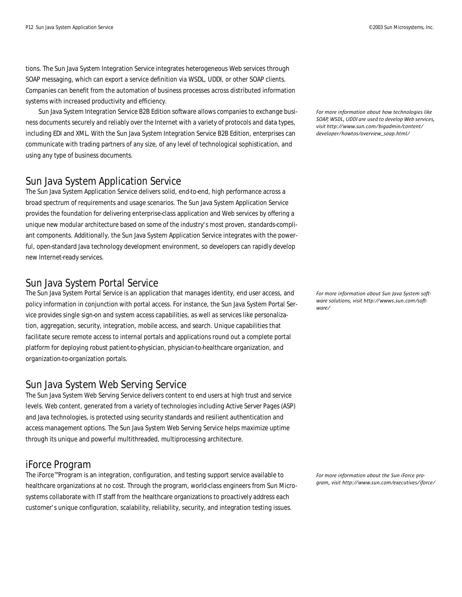tions. The Sun Java System Integration Service integrates heterogeneous Web services through SOAP messaging, which can export a service definition via WSDL, UDDI, or other SOAP clients. Companies can benefit from the automation of business processes across distributed information systems with increased productivity and efficiency.

Sun Java System Integration Service B2B Edition software allows companies to exchange business documents securely and reliably over the Internet with a variety of protocols and data types, including EDI and XML. With the Sun Java System Integration Service B2B Edition, enterprises can communicate with trading partners of any size, of any level of technological sophistication, and using any type of business documents.

## Sun Java System Application Service

The Sun Java System Application Service delivers solid, end-to-end, high performance across a broad spectrum of requirements and usage scenarios. The Sun Java System Application Service provides the foundation for delivering enterprise-class application and Web services by offering a unique new modular architecture based on some of the industry's most proven, standards-compliant components. Additionally, the Sun Java System Application Service integrates with the powerful, open-standard Java technology development environment, so developers can rapidly develop new Internet-ready services.

## Sun Java System Portal Service

The Sun Java System Portal Service is an application that manages identity, end user access, and policy information in conjunction with portal access. For instance, the Sun Java System Portal Service provides single sign-on and system access capabilities, as well as services like personalization, aggregation, security, integration, mobile access, and search. Unique capabilities that facilitate secure remote access to internal portals and applications round out a complete portal platform for deploying robust patient-to-physician, physician-to-healthcare organization, and organization-to-organization portals.

### Sun Java System Web Serving Service

The Sun Java System Web Serving Service delivers content to end users at high trust and service levels. Web content, generated from a variety of technologies including Active Server Pages (ASP) and Java technologies, is protected using security standards and resilient authentication and access management options. The Sun Java System Web Serving Service helps maximize uptime through its unique and powerful multithreaded, multiprocessing architecture.

## iForce Program

The iForce™ Program is an integration, configuration, and testing support service available to healthcare organizations at no cost. Through the program, world-class engineers from Sun Microsystems collaborate with IT staff from the healthcare organizations to proactively address each customer's unique configuration, scalability, reliability, security, and integration testing issues.

*For more information about how technologies like SOAP, WSDL, UDDI are used to develop Web services, visit http://www.sun.com/bigadmin/content/ developer/howtos/overview\_soap.html/*

*For more information about Sun Java System software solutions, visit http://wwws.sun.com/software/*

*For more information about the Sun iForce program, visit http://www.sun.com/executives/iforce/*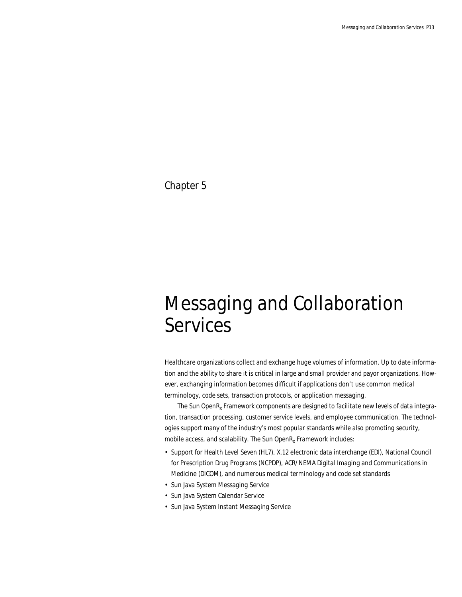#### Chapter 5

## **Messaging and Collaboration Services**

Healthcare organizations collect and exchange huge volumes of information. Up to date information and the ability to share it is critical in large and small provider and payor organizations. However, exchanging information becomes difficult if applications don't use common medical terminology, code sets, transaction protocols, or application messaging.

The Sun Open $R_x$  Framework components are designed to facilitate new levels of data integration, transaction processing, customer service levels, and employee communication. The technologies support many of the industry's most popular standards while also promoting security, mobile access, and scalability. The Sun OpenR<sub>x</sub> Framework includes:

- Support for Health Level Seven (HL7), X.12 electronic data interchange (EDI), National Council for Prescription Drug Programs (NCPDP), ACR/NEMA Digital Imaging and Communications in Medicine (DICOM), and numerous medical terminology and code set standards
- Sun Java System Messaging Service
- Sun Java System Calendar Service
- Sun Java System Instant Messaging Service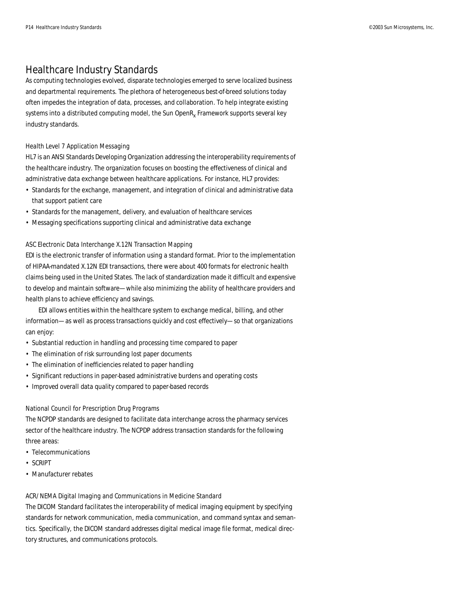#### Healthcare Industry Standards

As computing technologies evolved, disparate technologies emerged to serve localized business and departmental requirements. The plethora of heterogeneous best-of-breed solutions today often impedes the integration of data, processes, and collaboration. To help integrate existing systems into a distributed computing model, the Sun OpenR<sub>x</sub> Framework supports several key industry standards.

#### Health Level 7 Application Messaging

HL7 is an ANSI Standards Developing Organization addressing the interoperability requirements of the healthcare industry. The organization focuses on boosting the effectiveness of clinical and administrative data exchange between healthcare applications. For instance, HL7 provides:

- Standards for the exchange, management, and integration of clinical and administrative data that support patient care
- Standards for the management, delivery, and evaluation of healthcare services
- Messaging specifications supporting clinical and administrative data exchange

#### ASC Electronic Data Interchange X.12N Transaction Mapping

EDI is the electronic transfer of information using a standard format. Prior to the implementation of HIPAA-mandated X.12N EDI transactions, there were about 400 formats for electronic health claims being used in the United States. The lack of standardization made it difficult and expensive to develop and maintain software—while also minimizing the ability of healthcare providers and health plans to achieve efficiency and savings.

EDI allows entities within the healthcare system to exchange medical, billing, and other information—as well as process transactions quickly and cost effectively—so that organizations can enjoy:

- Substantial reduction in handling and processing time compared to paper
- The elimination of risk surrounding lost paper documents
- The elimination of inefficiencies related to paper handling
- Significant reductions in paper-based administrative burdens and operating costs
- Improved overall data quality compared to paper-based records

#### National Council for Prescription Drug Programs

The NCPDP standards are designed to facilitate data interchange across the pharmacy services sector of the healthcare industry. The NCPDP address transaction standards for the following three areas:

- Telecommunications
- SCRIPT
- Manufacturer rebates

#### ACR/NEMA Digital Imaging and Communications in Medicine Standard

The DICOM Standard facilitates the interoperability of medical imaging equipment by specifying standards for network communication, media communication, and command syntax and semantics. Specifically, the DICOM standard addresses digital medical image file format, medical directory structures, and communications protocols.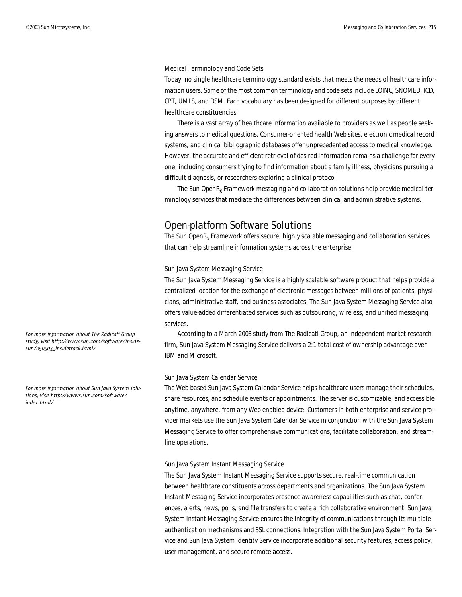#### Medical Terminology and Code Sets

Today, no single healthcare terminology standard exists that meets the needs of healthcare information users. Some of the most common terminology and code sets include LOINC, SNOMED, ICD, CPT, UMLS, and DSM. Each vocabulary has been designed for different purposes by different healthcare constituencies.

There is a vast array of healthcare information available to providers as well as people seeking answers to medical questions. Consumer-oriented health Web sites, electronic medical record systems, and clinical bibliographic databases offer unprecedented access to medical knowledge. However, the accurate and efficient retrieval of desired information remains a challenge for everyone, including consumers trying to find information about a family illness, physicians pursuing a difficult diagnosis, or researchers exploring a clinical protocol.

The Sun OpenR<sub>y</sub> Framework messaging and collaboration solutions help provide medical terminology services that mediate the differences between clinical and administrative systems.

#### Open-platform Software Solutions

The Sun OpenR<sub>x</sub> Framework offers secure, highly scalable messaging and collaboration services that can help streamline information systems across the enterprise.

#### Sun Java System Messaging Service

The Sun Java System Messaging Service is a highly scalable software product that helps provide a centralized location for the exchange of electronic messages between millions of patients, physicians, administrative staff, and business associates. The Sun Java System Messaging Service also offers value-added differentiated services such as outsourcing, wireless, and unified messaging services.

According to a March 2003 study from The Radicati Group, an independent market research firm, Sun Java System Messaging Service delivers a 2:1 total cost of ownership advantage over IBM and Microsoft.

#### Sun Java System Calendar Service

The Web-based Sun Java System Calendar Service helps healthcare users manage their schedules, share resources, and schedule events or appointments. The server is customizable, and accessible anytime, anywhere, from any Web-enabled device. Customers in both enterprise and service provider markets use the Sun Java System Calendar Service in conjunction with the Sun Java System Messaging Service to offer comprehensive communications, facilitate collaboration, and streamline operations.

#### Sun Java System Instant Messaging Service

The Sun Java System Instant Messaging Service supports secure, real-time communication between healthcare constituents across departments and organizations. The Sun Java System Instant Messaging Service incorporates presence awareness capabilities such as chat, conferences, alerts, news, polls, and file transfers to create a rich collaborative environment. Sun Java System Instant Messaging Service ensures the integrity of communications through its multiple authentication mechanisms and SSL connections. Integration with the Sun Java System Portal Service and Sun Java System Identity Service incorporate additional security features, access policy, user management, and secure remote access.

*For more information about The Radicati Group study, visit http://www.sun.com/software/insidesun/050503\_insidetrack.html/*

*For more information about Sun Java System solutions, visit http://wwws.sun.com/software/ index.html/*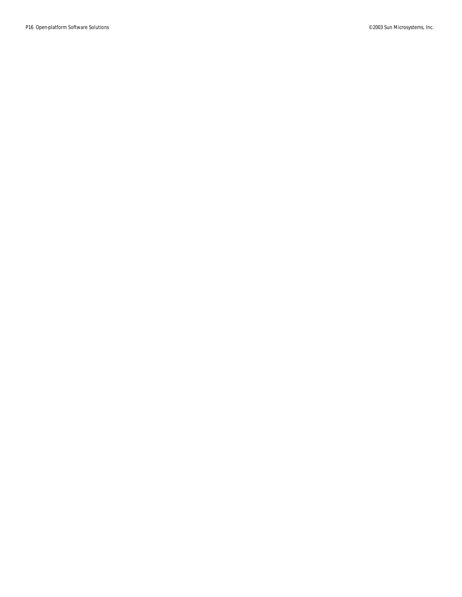P16 Open-platform Software Solutions ©2003 Sun Microsystems, Inc.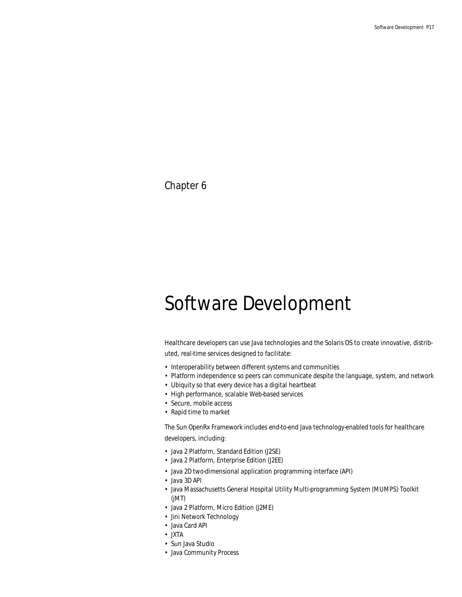### Chapter 6

# **Software Development**

Healthcare developers can use Java technologies and the Solaris OS to create innovative, distributed, real-time services designed to facilitate:

- Interoperability between different systems and communities
- Platform independence so peers can communicate despite the language, system, and network
- Ubiquity so that every device has a digital heartbeat
- High performance, scalable Web-based services
- Secure, mobile access
- Rapid time to market

The Sun OpenRx Framework includes end-to-end Java technology-enabled tools for healthcare developers, including:

- Java 2 Platform, Standard Edition (J2SE)
- Java 2 Platform, Enterprise Edition (J2EE)
- Java 2D two-dimensional application programming interface (API)
- Java 3D API
- Java Massachusetts General Hospital Utility Multi-programming System (MUMPS) Toolkit (jMT)
- Java 2 Platform, Micro Edition (J2ME)
- Jini Network Technology
- Java Card API
- JXTA
- Sun Java Studio
- Java Community Process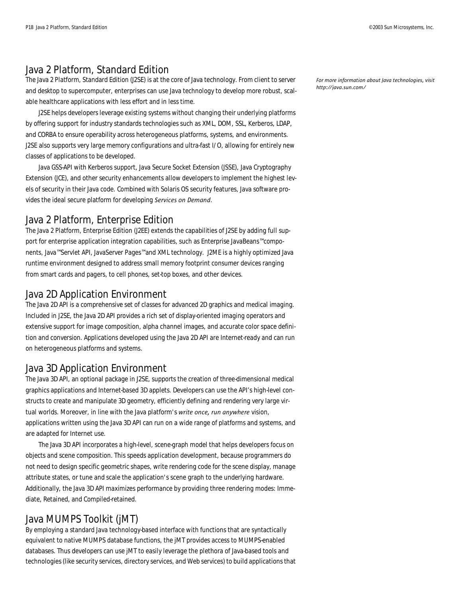#### Java 2 Platform, Standard Edition

The Java 2 Platform, Standard Edition (J2SE) is at the core of Java technology. From client to server and desktop to supercomputer, enterprises can use Java technology to develop more robust, scalable healthcare applications with less effort and in less time.

J2SE helps developers leverage existing systems without changing their underlying platforms by offering support for industry standards technologies such as XML, DOM, SSL, Kerberos, LDAP, and CORBA to ensure operability across heterogeneous platforms, systems, and environments. J2SE also supports very large memory configurations and ultra-fast I/O, allowing for entirely new classes of applications to be developed.

Java GSS-API with Kerberos support, Java Secure Socket Extension (JSSE), Java Cryptography Extension (JCE), and other security enhancements allow developers to implement the highest levels of security in their Java code. Combined with Solaris OS security features, Java software provides the ideal secure platform for developing *Services on Demand*.

#### Java 2 Platform, Enterprise Edition

The Java 2 Platform, Enterprise Edition (J2EE) extends the capabilities of J2SE by adding full support for enterprise application integration capabilities, such as Enterprise JavaBeans™ components, Java™ Servlet API, JavaServer Pages™ and XML technology. J2ME is a highly optimized Java runtime environment designed to address small memory footprint consumer devices ranging from smart cards and pagers, to cell phones, set-top boxes, and other devices.

#### Java 2D Application Environment

The Java 2D API is a comprehensive set of classes for advanced 2D graphics and medical imaging. Included in J2SE, the Java 2D API provides a rich set of display-oriented imaging operators and extensive support for image composition, alpha channel images, and accurate color space definition and conversion. Applications developed using the Java 2D API are Internet-ready and can run on heterogeneous platforms and systems.

#### Java 3D Application Environment

The Java 3D API, an optional package in J2SE, supports the creation of three-dimensional medical graphics applications and Internet-based 3D applets. Developers can use the API's high-level constructs to create and manipulate 3D geometry, efficiently defining and rendering very large virtual worlds. Moreover, in line with the Java platform's *write once, run anywhere* vision, applications written using the Java 3D API can run on a wide range of platforms and systems, and are adapted for Internet use.

The Java 3D API incorporates a high-level, scene-graph model that helps developers focus on objects and scene composition. This speeds application development, because programmers do not need to design specific geometric shapes, write rendering code for the scene display, manage attribute states, or tune and scale the application's scene graph to the underlying hardware. Additionally, the Java 3D API maximizes performance by providing three rendering modes: Immediate, Retained, and Compiled-retained.

#### Java MUMPS Toolkit (jMT)

By employing a standard Java technology-based interface with functions that are syntactically equivalent to native MUMPS database functions, the jMT provides access to MUMPS-enabled databases. Thus developers can use jMT to easily leverage the plethora of Java-based tools and technologies (like security services, directory services, and Web services) to build applications that *For more information about Java technologies, visit http://java.sun.com/*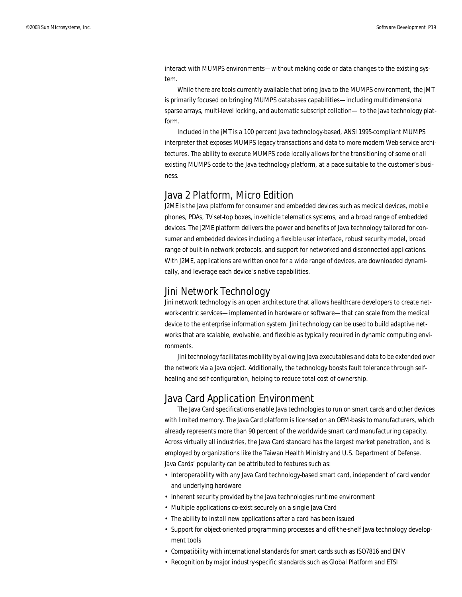interact with MUMPS environments—without making code or data changes to the existing system.

While there are tools currently available that bring Java to the MUMPS environment, the jMT is primarily focused on bringing MUMPS databases capabilities—including multidimensional sparse arrays, multi-level locking, and automatic subscript collation— to the Java technology platform.

Included in the jMT is a 100 percent Java technology-based, ANSI 1995-compliant MUMPS interpreter that exposes MUMPS legacy transactions and data to more modern Web-service architectures. The ability to execute MUMPS code locally allows for the transitioning of some or all existing MUMPS code to the Java technology platform, at a pace suitable to the customer's business.

#### Java 2 Platform, Micro Edition

J2ME is the Java platform for consumer and embedded devices such as medical devices, mobile phones, PDAs, TV set-top boxes, in-vehicle telematics systems, and a broad range of embedded devices. The J2ME platform delivers the power and benefits of Java technology tailored for consumer and embedded devices including a flexible user interface, robust security model, broad range of built-in network protocols, and support for networked and disconnected applications. With J2ME, applications are written once for a wide range of devices, are downloaded dynamically, and leverage each device's native capabilities.

#### Jini Network Technology

Jini network technology is an open architecture that allows healthcare developers to create network-centric services—implemented in hardware or software—that can scale from the medical device to the enterprise information system. Jini technology can be used to build adaptive networks that are scalable, evolvable, and flexible as typically required in dynamic computing environments.

Jini technology facilitates mobility by allowing Java executables and data to be extended over the network via a Java object. Additionally, the technology boosts fault tolerance through selfhealing and self-configuration, helping to reduce total cost of ownership.

#### Java Card Application Environment

The Java Card specifications enable Java technologies to run on smart cards and other devices with limited memory. The Java Card platform is licensed on an OEM-basis to manufacturers, which already represents more than 90 percent of the worldwide smart card manufacturing capacity. Across virtually all industries, the Java Card standard has the largest market penetration, and is employed by organizations like the Taiwan Health Ministry and U.S. Department of Defense. Java Cards' popularity can be attributed to features such as:

- Interoperability with any Java Card technology-based smart card, independent of card vendor and underlying hardware
- Inherent security provided by the Java technologies runtime environment
- Multiple applications co-exist securely on a single Java Card
- The ability to install new applications after a card has been issued
- Support for object-oriented programming processes and off-the-shelf Java technology development tools
- Compatibility with international standards for smart cards such as ISO7816 and EMV
- Recognition by major industry-specific standards such as Global Platform and ETSI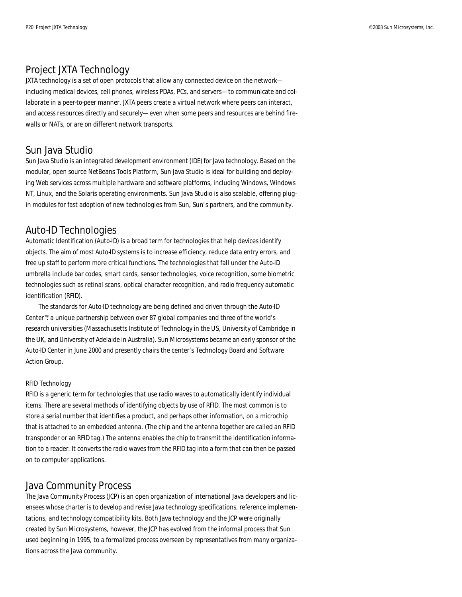#### Project JXTA Technology

JXTA technology is a set of open protocols that allow any connected device on the network including medical devices, cell phones, wireless PDAs, PCs, and servers—to communicate and collaborate in a peer-to-peer manner. JXTA peers create a virtual network where peers can interact, and access resources directly and securely—even when some peers and resources are behind firewalls or NATs, or are on different network transports.

#### Sun Java Studio

Sun Java Studio is an integrated development environment (IDE) for Java technology. Based on the modular, open source NetBeans Tools Platform, Sun Java Studio is ideal for building and deploying Web services across multiple hardware and software platforms, including Windows, Windows NT, Linux, and the Solaris operating environments. Sun Java Studio is also scalable, offering plugin modules for fast adoption of new technologies from Sun, Sun's partners, and the community.

### Auto-ID Technologies

Automatic Identification (Auto-ID) is a broad term for technologies that help devices identify objects. The aim of most Auto-ID systems is to increase efficiency, reduce data entry errors, and free up staff to perform more critical functions. The technologies that fall under the Auto-ID umbrella include bar codes, smart cards, sensor technologies, voice recognition, some biometric technologies such as retinal scans, optical character recognition, and radio frequency automatic identification (RFID).

The standards for Auto-ID technology are being defined and driven through the Auto-ID Center™: a unique partnership between over 87 global companies and three of the world's research universities (Massachusetts Institute of Technology in the US, University of Cambridge in the UK, and University of Adelaide in Australia). Sun Microsystems became an early sponsor of the Auto-ID Center in June 2000 and presently chairs the center's Technology Board and Software Action Group.

#### RFID Technology

RFID is a generic term for technologies that use radio waves to automatically identify individual items. There are several methods of identifying objects by use of RFID. The most common is to store a serial number that identifies a product, and perhaps other information, on a microchip that is attached to an embedded antenna. (The chip and the antenna together are called an RFID transponder or an RFID tag.) The antenna enables the chip to transmit the identification information to a reader. It converts the radio waves from the RFID tag into a form that can then be passed on to computer applications.

#### Java Community Process

The Java Community Process (JCP) is an open organization of international Java developers and licensees whose charter is to develop and revise Java technology specifications, reference implementations, and technology compatibility kits. Both Java technology and the JCP were originally created by Sun Microsystems, however, the JCP has evolved from the informal process that Sun used beginning in 1995, to a formalized process overseen by representatives from many organizations across the Java community.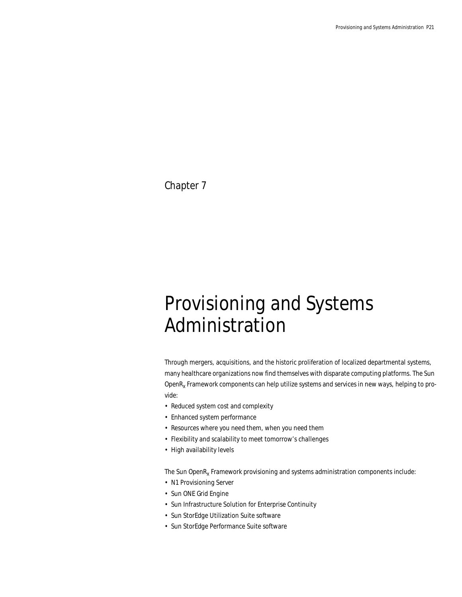Chapter 7

# **Provisioning and Systems Administration**

Through mergers, acquisitions, and the historic proliferation of localized departmental systems, many healthcare organizations now find themselves with disparate computing platforms. The Sun Open $R_x$  Framework components can help utilize systems and services in new ways, helping to provide:

- Reduced system cost and complexity
- Enhanced system performance
- Resources where you need them, when you need them
- Flexibility and scalability to meet tomorrow's challenges
- High availability levels

The Sun OpenR<sub>x</sub> Framework provisioning and systems administration components include:

- N1 Provisioning Server
- Sun ONE Grid Engine
- Sun Infrastructure Solution for Enterprise Continuity
- Sun StorEdge Utilization Suite software
- Sun StorEdge Performance Suite software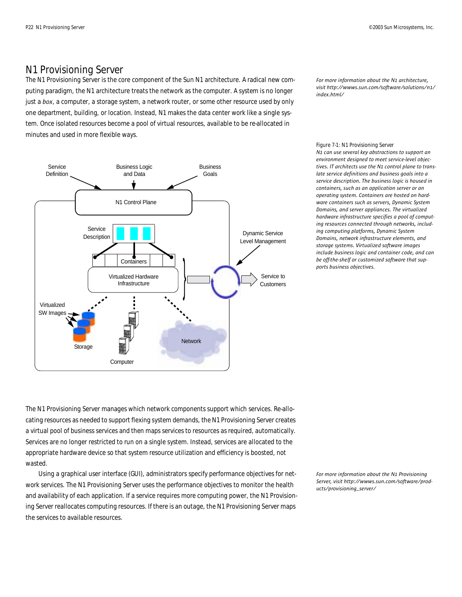#### N1 Provisioning Server

The N1 Provisioning Server is the core component of the Sun N1 architecture. A radical new computing paradigm, the N1 architecture treats the network as the computer. A system is no longer just a *box*, a computer, a storage system, a network router, or some other resource used by only one department, building, or location. Instead, N1 makes the data center work like a single system. Once isolated resources become a pool of virtual resources, available to be re-allocated in minutes and used in more flexible ways.



*For more information about the N1 architecture, visit http://wwws.sun.com/software/solutions/n1/ index.html/*

#### Figure 7-1: N1 Provisioning Server

*N1 can use several key abstractions to support an environment designed to meet service-level objectives. IT architects use the N1 control plane to translate service definitions and business goals into a service description. The business logic is housed in containers, such as an application server or an operating system. Containers are hosted on hardware containers such as servers, Dynamic System Domains, and server appliances. The virtualized hardware infrastructure specifies a pool of computing resources connected through networks, including computing platforms, Dynamic System Domains, network infrastructure elements, and storage systems. Virtualized software images include business logic and container code, and can be off-the-shelf or customized software that supports business objectives.* 

The N1 Provisioning Server manages which network components support which services. Re-allocating resources as needed to support flexing system demands, the N1 Provisioning Server creates a virtual pool of business services and then maps services to resources as required, automatically. Services are no longer restricted to run on a single system. Instead, services are allocated to the appropriate hardware device so that system resource utilization and efficiency is boosted, not wasted.

Using a graphical user interface (GUI), administrators specify performance objectives for network services. The N1 Provisioning Server uses the performance objectives to monitor the health and availability of each application. If a service requires more computing power, the N1 Provisioning Server reallocates computing resources. If there is an outage, the N1 Provisioning Server maps the services to available resources.

*For more information about the N1 Provisioning Server, visit http://wwws.sun.com/software/products/provisioning\_server/*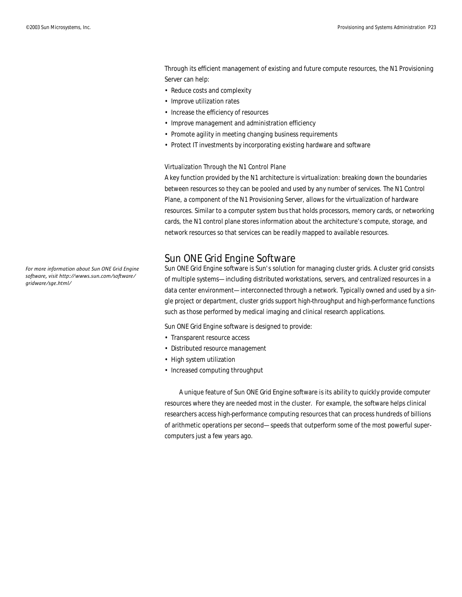Through its efficient management of existing and future compute resources, the N1 Provisioning Server can help:

- Reduce costs and complexity
- Improve utilization rates
- Increase the efficiency of resources
- Improve management and administration efficiency
- Promote agility in meeting changing business requirements
- Protect IT investments by incorporating existing hardware and software

#### Virtualization Through the N1 Control Plane

A key function provided by the N1 architecture is virtualization: breaking down the boundaries between resources so they can be pooled and used by any number of services. The N1 Control Plane, a component of the N1 Provisioning Server, allows for the virtualization of hardware resources. Similar to a computer system bus that holds processors, memory cards, or networking cards, the N1 control plane stores information about the architecture's compute, storage, and network resources so that services can be readily mapped to available resources.

#### Sun ONE Grid Engine Software

Sun ONE Grid Engine software is Sun's solution for managing cluster grids. A cluster grid consists of multiple systems—including distributed workstations, servers, and centralized resources in a data center environment—interconnected through a network. Typically owned and used by a single project or department, cluster grids support high-throughput and high-performance functions such as those performed by medical imaging and clinical research applications.

Sun ONE Grid Engine software is designed to provide:

- Transparent resource access
- Distributed resource management
- High system utilization
- Increased computing throughput

 A unique feature of Sun ONE Grid Engine software is its ability to quickly provide computer resources where they are needed most in the cluster. For example, the software helps clinical researchers access high-performance computing resources that can process hundreds of billions of arithmetic operations per second—speeds that outperform some of the most powerful supercomputers just a few years ago.

*For more information about Sun ONE Grid Engine software, visit http://wwws.sun.com/software/ gridware/sge.html/*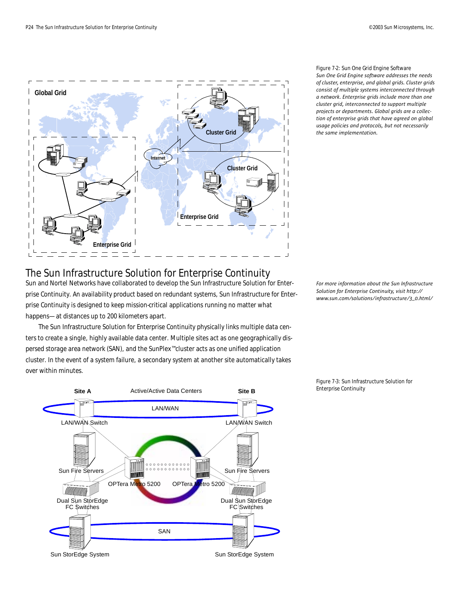

Figure 7-2: Sun One Grid Engine Software *Sun One Grid Engine software addresses the needs of cluster, enterprise, and global grids. Cluster grids consist of multiple systems interconnected through a network. Enterprise grids include more than one cluster grid, interconnected to support multiple projects or departments. Global grids are a collection of enterprise grids that have agreed on global usage policies and protocols, but not necessarily the same implementation.* 

#### The Sun Infrastructure Solution for Enterprise Continuity

Sun and Nortel Networks have collaborated to develop the Sun Infrastructure Solution for Enterprise Continuity. An availability product based on redundant systems, Sun Infrastructure for Enterprise Continuity is designed to keep mission-critical applications running no matter what happens—at distances up to 200 kilometers apart.

The Sun Infrastructure Solution for Enterprise Continuity physically links multiple data centers to create a single, highly available data center. Multiple sites act as one geographically dispersed storage area network (SAN), and the SunPlex™ cluster acts as one unified application cluster. In the event of a system failure, a secondary system at another site automatically takes over within minutes.



*For more information about the Sun Infrastructure Solution for Enterprise Continuity, visit http:// www.sun.com/solutions/infrastructure/3\_0.html/*

Figure 7-3: Sun Infrastructure Solution for Enterprise Continuity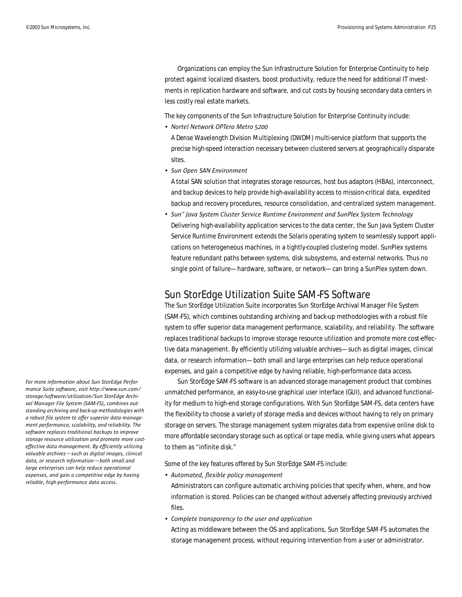Organizations can employ the Sun Infrastructure Solution for Enterprise Continuity to help protect against localized disasters, boost productivity, reduce the need for additional IT investments in replication hardware and software, and cut costs by housing secondary data centers in less costly real estate markets.

The key components of the Sun Infrastructure Solution for Enterprise Continuity include:

*• Nortel Network OPTera Metro 5200*

A Dense Wavelength Division Multiplexing (DWDM) multi-service platform that supports the precise high-speed interaction necessary between clustered servers at geographically disparate sites.

*• Sun Open SAN Environment*

A total SAN solution that integrates storage resources, host bus adaptors (HBAs), interconnect, and backup devices to help provide high-availability access to mission-critical data, expedited backup and recovery procedures, resource consolidation, and centralized system management.

• *Sun™ Java System Cluster Service Runtime Environment and SunPlex System Technology*  Delivering high-availability application services to the data center, the Sun Java System Cluster Service Runtime Environment extends the Solaris operating system to seamlessly support applications on heterogeneous machines, in a tightly-coupled clustering model. SunPlex systems feature redundant paths between systems, disk subsystems, and external networks. Thus no single point of failure—hardware, software, or network—can bring a SunPlex system down.

### Sun StorEdge Utilization Suite SAM-FS Software

The Sun StorEdge Utilization Suite incorporates Sun StorEdge Archival Manager File System (SAM-FS), which combines outstanding archiving and back-up methodologies with a robust file system to offer superior data management performance, scalability, and reliability. The software replaces traditional backups to improve storage resource utilization and promote more cost-effective data management. By efficiently utilizing valuable archives—such as digital images, clinical data, or research information—both small and large enterprises can help reduce operational expenses, and gain a competitive edge by having reliable, high-performance data access.

Sun StorEdge SAM-FS software is an advanced storage management product that combines unmatched performance, an easy-to-use graphical user interface (GUI), and advanced functionality for medium to high-end storage configurations. With Sun StorEdge SAM-FS, data centers have the flexibility to choose a variety of storage media and devices without having to rely on primary storage on servers. The storage management system migrates data from expensive online disk to more affordable secondary storage such as optical or tape media, while giving users what appears to them as "infinite disk."

Some of the key features offered by Sun StorEdge SAM-FS include:

*• Automated, flexible policy management*

Administrators can configure automatic archiving policies that specify when, where, and how information is stored. Policies can be changed without adversely affecting previously archived files.

*• Complete transparency to the user and application* 

Acting as middleware between the OS and applications, Sun StorEdge SAM-FS automates the storage management process, without requiring intervention from a user or administrator.

*For more information about Sun StorEdge Performance Suite software, visit http://www.sun.com/ storage/software/utilization/Sun StorEdge Archival Manager File System (SAM-FS), combines outstanding archiving and back-up methodologies with a robust file system to offer superior data management performance, scalability, and reliability. The software replaces traditional backups to improve storage resource utilization and promote more costeffective data management. By efficiently utilizing valuable archives—such as digital images, clinical data, or research information—both small and large enterprises can help reduce operational expenses, and gain a competitive edge by having reliable, high-performance data access.*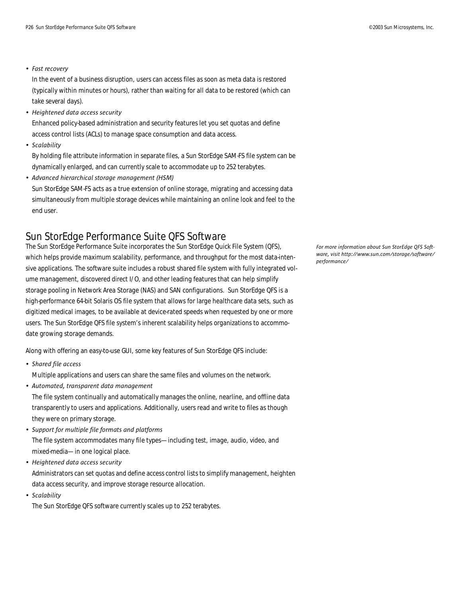*• Fast recovery*

In the event of a business disruption, users can access files as soon as meta data is restored (typically within minutes or hours), rather than waiting for all data to be restored (which can take several days).

*• Heightened data access security*

Enhanced policy-based administration and security features let you set quotas and define access control lists (ACLs) to manage space consumption and data access.

*• Scalability*

end user.

By holding file attribute information in separate files, a Sun StorEdge SAM-FS file system can be dynamically enlarged, and can currently scale to accommodate up to 252 terabytes.

*• Advanced hierarchical storage management (HSM)* Sun StorEdge SAM-FS acts as a true extension of online storage, migrating and accessing data simultaneously from multiple storage devices while maintaining an online look and feel to the

### Sun StorEdge Performance Suite QFS Software

The Sun StorEdge Performance Suite incorporates the Sun StorEdge Quick File System (QFS), which helps provide maximum scalability, performance, and throughput for the most data-intensive applications. The software suite includes a robust shared file system with fully integrated volume management, discovered direct I/O, and other leading features that can help simplify storage pooling in Network Area Storage (NAS) and SAN configurations. Sun StorEdge QFS is a high-performance 64-bit Solaris OS file system that allows for large healthcare data sets, such as digitized medical images, to be available at device-rated speeds when requested by one or more users. The Sun StorEdge QFS file system's inherent scalability helps organizations to accommodate growing storage demands.

Along with offering an easy-to-use GUI, some key features of Sun StorEdge QFS include:

*• Shared file access*

Multiple applications and users can share the same files and volumes on the network.

*• Automated, transparent data management*

The file system continually and automatically manages the online, nearline, and offline data transparently to users and applications. Additionally, users read and write to files as though they were on primary storage.

- *Support for multiple file formats and platforms* The file system accommodates many file types—including test, image, audio, video, and mixed-media—in one logical place.
- *Heightened data access security*

Administrators can set quotas and define access control lists to simplify management, heighten data access security, and improve storage resource allocation.

*• Scalability*

The Sun StorEdge QFS software currently scales up to 252 terabytes.

*For more information about Sun StorEdge QFS Software, visit http://www.sun.com/storage/software/ performance/*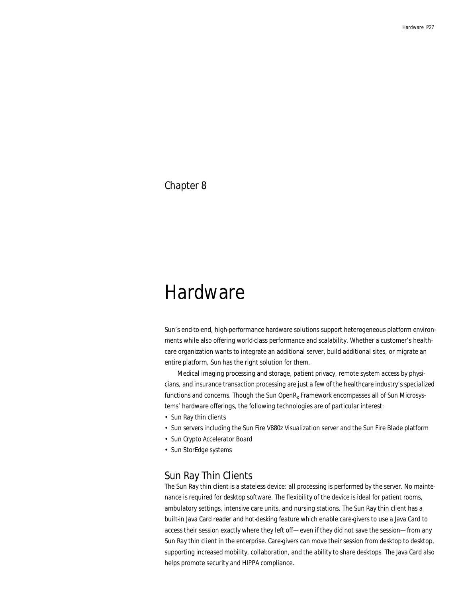#### Chapter 8

## **Hardware**

Sun's end-to-end, high-performance hardware solutions support heterogeneous platform environments while also offering world-class performance and scalability. Whether a customer's healthcare organization wants to integrate an additional server, build additional sites, or migrate an entire platform, Sun has the right solution for them.

Medical imaging processing and storage, patient privacy, remote system access by physicians, and insurance transaction processing are just a few of the healthcare industry's specialized functions and concerns. Though the Sun Open $R_x$  Framework encompasses all of Sun Microsystems' hardware offerings, the following technologies are of particular interest:

- Sun Ray thin clients
- Sun servers including the Sun Fire V880z Visualization server and the Sun Fire Blade platform
- Sun Crypto Accelerator Board
- Sun StorEdge systems

### Sun Ray Thin Clients

The Sun Ray thin client is a stateless device: all processing is performed by the server. No maintenance is required for desktop software. The flexibility of the device is ideal for patient rooms, ambulatory settings, intensive care units, and nursing stations. The Sun Ray thin client has a built-in Java Card reader and hot-desking feature which enable care-givers to use a Java Card to access their session exactly where they left off—even if they did not save the session—from any Sun Ray thin client in the enterprise. Care-givers can move their session from desktop to desktop, supporting increased mobility, collaboration, and the ability to share desktops. The Java Card also helps promote security and HIPPA compliance.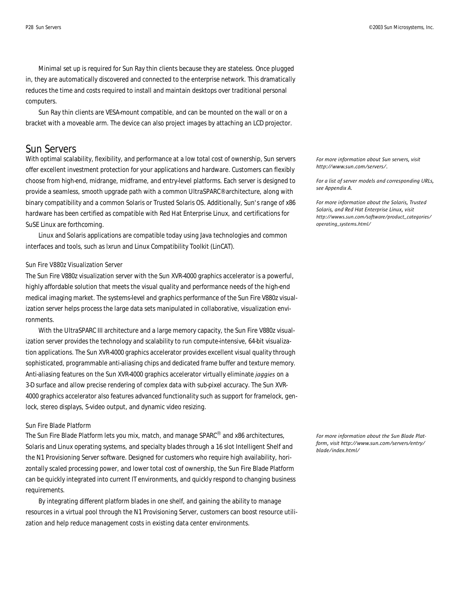Minimal set up is required for Sun Ray thin clients because they are stateless. Once plugged in, they are automatically discovered and connected to the enterprise network. This dramatically reduces the time and costs required to install and maintain desktops over traditional personal computers.

Sun Ray thin clients are VESA-mount compatible, and can be mounted on the wall or on a bracket with a moveable arm. The device can also project images by attaching an LCD projector.

#### Sun Servers

With optimal scalability, flexibility, and performance at a low total cost of ownership, Sun servers offer excellent investment protection for your applications and hardware. Customers can flexibly choose from high-end, midrange, midframe, and entry-level platforms. Each server is designed to provide a seamless, smooth upgrade path with a common UltraSPARC® architecture, along with binary compatibility and a common Solaris or Trusted Solaris OS. Additionally, Sun's range of x86 hardware has been certified as compatible with Red Hat Enterprise Linux, and certifications for SuSE Linux are forthcoming.

Linux and Solaris applications are compatible today using Java technologies and common interfaces and tools, such as lxrun and Linux Compatibility Toolkit (LinCAT).

#### Sun Fire V880z Visualization Server

The Sun Fire V880z visualization server with the Sun XVR-4000 graphics accelerator is a powerful, highly affordable solution that meets the visual quality and performance needs of the high-end medical imaging market. The systems-level and graphics performance of the Sun Fire V880z visualization server helps process the large data sets manipulated in collaborative, visualization environments.

With the UltraSPARC III architecture and a large memory capacity, the Sun Fire V880z visualization server provides the technology and scalability to run compute-intensive, 64-bit visualization applications. The Sun XVR-4000 graphics accelerator provides excellent visual quality through sophisticated, programmable anti-aliasing chips and dedicated frame buffer and texture memory. Anti-aliasing features on the Sun XVR-4000 graphics accelerator virtually eliminate *jaggies* on a 3-D surface and allow precise rendering of complex data with sub-pixel accuracy. The Sun XVR-4000 graphics accelerator also features advanced functionality such as support for framelock, genlock, stereo displays, S-video output, and dynamic video resizing.

#### Sun Fire Blade Platform

The Sun Fire Blade Platform lets you mix, match, and manage SPARC<sup>®</sup> and x86 architectures, Solaris and Linux operating systems, and specialty blades through a 16 slot Intelligent Shelf and the N1 Provisioning Server software. Designed for customers who require high availability, horizontally scaled processing power, and lower total cost of ownership, the Sun Fire Blade Platform can be quickly integrated into current IT environments, and quickly respond to changing business requirements.

By integrating different platform blades in one shelf, and gaining the ability to manage resources in a virtual pool through the N1 Provisioning Server, customers can boost resource utilization and help reduce management costs in existing data center environments.

*For more information about Sun servers, visit http://www.sun.com/servers/.*

*For a list of server models and corresponding URLs, see Appendix A.*

*For more information about the Solaris, Trusted Solaris, and Red Hat Enterprise Linux, visit http://wwws.sun.com/software/product\_categories/ operating\_systems.html/*

*For more information about the Sun Blade Platform, visit http://www.sun.com/servers/entry/ blade/index.html/*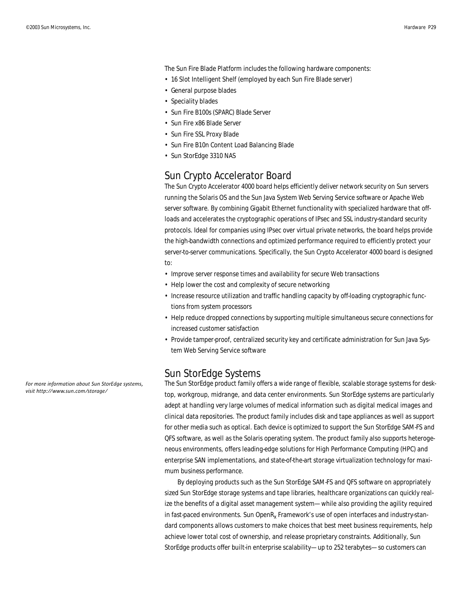The Sun Fire Blade Platform includes the following hardware components:

- 16 Slot Intelligent Shelf (employed by each Sun Fire Blade server)
- General purpose blades
- Speciality blades
- Sun Fire B100s (SPARC) Blade Server
- Sun Fire x86 Blade Server
- Sun Fire SSL Proxy Blade
- Sun Fire B10n Content Load Balancing Blade
- Sun StorEdge 3310 NAS

#### Sun Crypto Accelerator Board

The Sun Crypto Accelerator 4000 board helps efficiently deliver network security on Sun servers running the Solaris OS and the Sun Java System Web Serving Service software or Apache Web server software. By combining Gigabit Ethernet functionality with specialized hardware that offloads and accelerates the cryptographic operations of IPsec and SSL industry-standard security protocols. Ideal for companies using IPsec over virtual private networks, the board helps provide the high-bandwidth connections and optimized performance required to efficiently protect your server-to-server communications. Specifically, the Sun Crypto Accelerator 4000 board is designed to:

- Improve server response times and availability for secure Web transactions
- Help lower the cost and complexity of secure networking
- Increase resource utilization and traffic handling capacity by off-loading cryptographic functions from system processors
- Help reduce dropped connections by supporting multiple simultaneous secure connections for increased customer satisfaction
- Provide tamper-proof, centralized security key and certificate administration for Sun Java System Web Serving Service software

#### Sun StorEdge Systems

The Sun StorEdge product family offers a wide range of flexible, scalable storage systems for desktop, workgroup, midrange, and data center environments. Sun StorEdge systems are particularly adept at handling very large volumes of medical information such as digital medical images and clinical data repositories. The product family includes disk and tape appliances as well as support for other media such as optical. Each device is optimized to support the Sun StorEdge SAM-FS and QFS software, as well as the Solaris operating system. The product family also supports heterogeneous environments, offers leading-edge solutions for High Performance Computing (HPC) and enterprise SAN implementations, and state-of-the-art storage virtualization technology for maximum business performance.

By deploying products such as the Sun StorEdge SAM-FS and QFS software on appropriately sized Sun StorEdge storage systems and tape libraries, healthcare organizations can quickly realize the benefits of a digital asset management system—while also providing the agility required in fast-paced environments. Sun OpenR<sub>y</sub> Framework's use of open interfaces and industry-standard components allows customers to make choices that best meet business requirements, help achieve lower total cost of ownership, and release proprietary constraints. Additionally, Sun StorEdge products offer built-in enterprise scalability—up to 252 terabytes—so customers can

*For more information about Sun StorEdge systems, visit http://www.sun.com/storage/*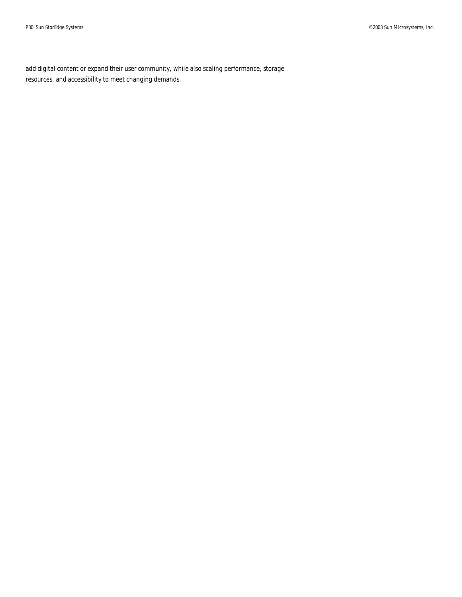add digital content or expand their user community, while also scaling performance, storage resources, and accessibility to meet changing demands.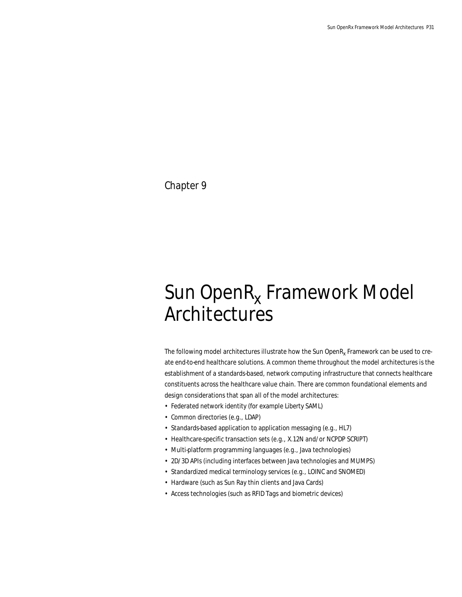#### Chapter 9

# **Sun OpenR<sub>x</sub> Framework Model Architectures**

The following model architectures illustrate how the Sun Open $R_x$  Framework can be used to create end-to-end healthcare solutions. A common theme throughout the model architectures is the establishment of a standards-based, network computing infrastructure that connects healthcare constituents across the healthcare value chain. There are common foundational elements and design considerations that span all of the model architectures:

- Federated network identity (for example Liberty SAML)
- Common directories (e.g., LDAP)
- Standards-based application to application messaging (e.g., HL7)
- Healthcare-specific transaction sets (e.g., X.12N and/or NCPDP SCRIPT)
- Multi-platform programming languages (e.g., Java technologies)
- 2D/3D APIs (including interfaces between Java technologies and MUMPS)
- Standardized medical terminology services (e.g., LOINC and SNOMED)
- Hardware (such as Sun Ray thin clients and Java Cards)
- Access technologies (such as RFID Tags and biometric devices)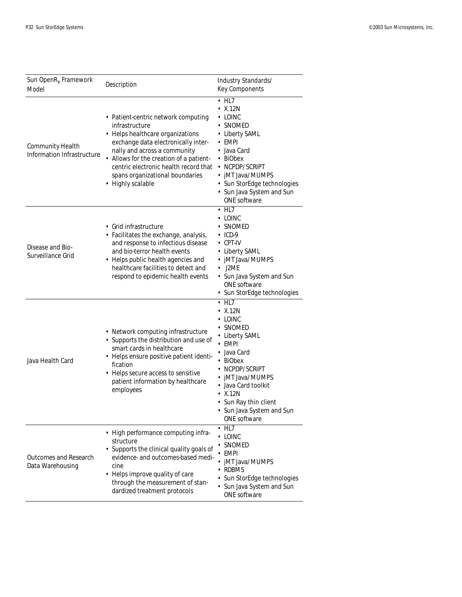| Sun OpenR <sub>x</sub> Framework<br><b>Model</b>      | <b>Description</b>                                                                                                                                                                                                                                                                                           | Industry Standards/<br><b>Key Components</b>                                                                                                                                                                                                             |
|-------------------------------------------------------|--------------------------------------------------------------------------------------------------------------------------------------------------------------------------------------------------------------------------------------------------------------------------------------------------------------|----------------------------------------------------------------------------------------------------------------------------------------------------------------------------------------------------------------------------------------------------------|
| <b>Community Health</b><br>Information Infrastructure | • Patient-centric network computing<br>infrastructure<br>• Helps healthcare organizations<br>exchange data electronically inter-<br>nally and across a community<br>• Allows for the creation of a patient-<br>centric electronic health record that<br>spans organizational boundaries<br>• Highly scalable | $·$ HL7<br>• X.12N<br>• LOINC<br>• SNOMED<br>• Liberty SAML<br>• EMPI<br>• Java Card<br>• BiObex<br>• NCPDP/SCRIPT<br>• jMT Java/MUMPS<br>• Sun StorEdge technologies<br>• Sun Java System and Sun<br>ONE software                                       |
| Disease and Bio-<br>Surveillance Grid                 | • Grid infrastructure<br>• Facilitates the exchange, analysis,<br>and response to infectious disease<br>and bio-terror health events<br>• Helps public health agencies and<br>healthcare facilities to detect and<br>respond to epidemic health events                                                       | $\cdot$ HL7<br>• LOINC<br>• SNOMED<br>$\cdot$ ICD-9<br>$\bullet$ CPT-IV<br>• Liberty SAML<br>• jMT Java/MUMPS<br>$-$ J2ME<br>• Sun Java System and Sun<br>ONE software<br>• Sun StorEdge technologies                                                    |
| Java Health Card                                      | • Network computing infrastructure<br>• Supports the distribution and use of<br>smart cards in healthcare<br>• Helps ensure positive patient identi-<br>fication<br>• Helps secure access to sensitive<br>patient information by healthcare<br>employees                                                     | $\cdot$ HL7<br>$\cdot$ X.12N<br>• LOINC<br>• SNOMED<br>• Liberty SAML<br>• EMPI<br>• Java Card<br>• BiObex<br>• NCPDP/SCRIPT<br>• jMT Java/MUMPS<br>• Java Card toolkit<br>• X.12N<br>• Sun Ray thin client<br>• Sun Java System and Sun<br>ONE software |
| <b>Outcomes and Research</b><br>Data Warehousing      | • High performance computing infra-<br>structure<br>• Supports the clinical quality goals of<br>evidence- and outcomes-based medi-<br>cine<br>• Helps improve quality of care<br>through the measurement of stan-<br>dardized treatment protocols                                                            | $·$ HL7<br>• LOINC<br>• SNOMED<br>$\cdot$ EMPI<br>• jMT Java/MUMPS<br>• RDBMS<br>• Sun StorEdge technologies<br>• Sun Java System and Sun<br>ONE software                                                                                                |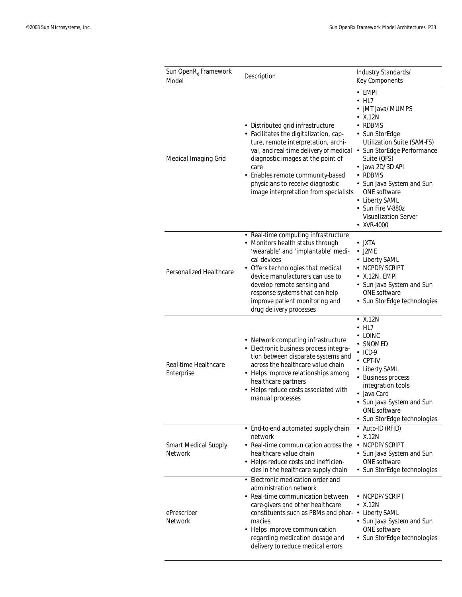| Sun OpenR <sub>x</sub> Framework<br>Model     | Description                                                                                                                                                                                                                                                                                                                         | Industry Standards/<br><b>Key Components</b>                                                                                                                                                                                                                                                                                   |
|-----------------------------------------------|-------------------------------------------------------------------------------------------------------------------------------------------------------------------------------------------------------------------------------------------------------------------------------------------------------------------------------------|--------------------------------------------------------------------------------------------------------------------------------------------------------------------------------------------------------------------------------------------------------------------------------------------------------------------------------|
| Medical Imaging Grid                          | • Distributed grid infrastructure<br>• Facilitates the digitalization, cap-<br>ture, remote interpretation, archi-<br>val, and real-time delivery of medical<br>diagnostic images at the point of<br>care<br>• Enables remote community-based<br>physicians to receive diagnostic<br>image interpretation from specialists          | • EMPI<br>• HL7<br>• jMT Java/MUMPS<br>$\bullet$ X.12N<br>• RDBMS<br>• Sun StorEdge<br>Utilization Suite (SAM-FS)<br>• Sun StorEdge Performance<br>Suite (QFS)<br>• Java 2D/3D API<br>• RDBMS<br>• Sun Java System and Sun<br>ONE software<br>• Liberty SAML<br>• Sun Fire V-880z<br><b>Visualization Server</b><br>• XVR-4000 |
| Personalized Healthcare                       | • Real-time computing infrastructure<br>• Monitors health status through<br>'wearable' and 'implantable' medi-<br>cal devices<br>• Offers technologies that medical<br>device manufacturers can use to<br>develop remote sensing and<br>response systems that can help<br>improve patient monitoring and<br>drug delivery processes | • JXTA<br>$-$ J2ME<br>• Liberty SAML<br>• NCPDP/SCRIPT<br>$\bullet$ X.12N, EMPI<br>• Sun Java System and Sun<br><b>ONE</b> software<br>• Sun StorEdge technologies                                                                                                                                                             |
| Real-time Healthcare<br>Enterprise            | • Network computing infrastructure<br>• Electronic business process integra-<br>tion between disparate systems and<br>across the healthcare value chain<br>• Helps improve relationships among<br>healthcare partners<br>• Helps reduce costs associated with<br>manual processes                                                   | $\bullet$ X.12N<br>$·$ HL7<br>• LOINC<br>• SNOMED<br>$\cdot$ ICD-9<br>$\cdot$ CPT-IV<br>• Liberty SAML<br>• Business process<br>integration tools<br>• Java Card<br>• Sun Java System and Sun<br><b>ONE</b> software<br>• Sun StorEdge technologies                                                                            |
| <b>Smart Medical Supply</b><br><b>Network</b> | • End-to-end automated supply chain<br>network<br>• Real-time communication across the<br>healthcare value chain<br>• Helps reduce costs and inefficien-<br>cies in the healthcare supply chain                                                                                                                                     | • Auto-ID (RFID)<br>$\cdot$ X.12N<br>• NCPDP/SCRIPT<br>• Sun Java System and Sun<br><b>ONE</b> software<br>• Sun StorEdge technologies                                                                                                                                                                                         |
| ePrescriber<br><b>Network</b>                 | • Electronic medication order and<br>administration network<br>• Real-time communication between<br>care-givers and other healthcare<br>constituents such as PBMs and phar-<br>macies<br>• Helps improve communication<br>regarding medication dosage and<br>delivery to reduce medical errors                                      | • NCPDP/SCRIPT<br>• X.12N<br>• Liberty SAML<br>• Sun Java System and Sun<br>ONE software<br>• Sun StorEdge technologies                                                                                                                                                                                                        |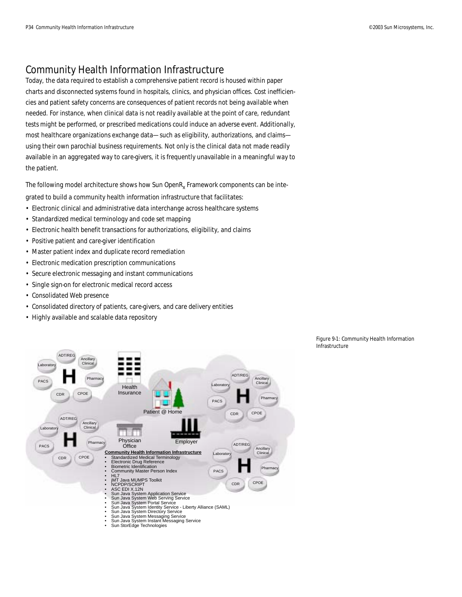### Community Health Information Infrastructure

Today, the data required to establish a comprehensive patient record is housed within paper charts and disconnected systems found in hospitals, clinics, and physician offices. Cost inefficiencies and patient safety concerns are consequences of patient records not being available when needed. For instance, when clinical data is not readily available at the point of care, redundant tests might be performed, or prescribed medications could induce an adverse event. Additionally, most healthcare organizations exchange data—such as eligibility, authorizations, and claims using their own parochial business requirements. Not only is the clinical data not made readily available in an aggregated way to care-givers, it is frequently unavailable in a meaningful way to the patient.

The following model architecture shows how Sun Open $R<sub>x</sub>$  Framework components can be integrated to build a community health information infrastructure that facilitates:

- Electronic clinical and administrative data interchange across healthcare systems
- Standardized medical terminology and code set mapping
- Electronic health benefit transactions for authorizations, eligibility, and claims
- Positive patient and care-giver identification
- Master patient index and duplicate record remediation
- Electronic medication prescription communications
- Secure electronic messaging and instant communications
- Single sign-on for electronic medical record access
- Consolidated Web presence
- Consolidated directory of patients, care-givers, and care delivery entities
- Highly available and scalable data repository



Figure 9-1: Community Health Information Infrastructure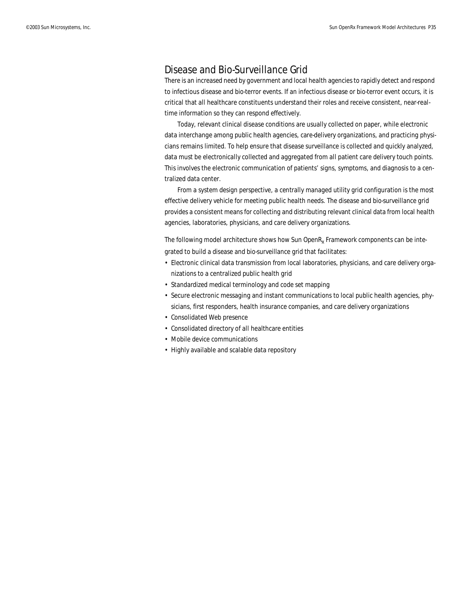## Disease and Bio-Surveillance Grid

There is an increased need by government and local health agencies to rapidly detect and respond to infectious disease and bio-terror events. If an infectious disease or bio-terror event occurs, it is critical that all healthcare constituents understand their roles and receive consistent, near-realtime information so they can respond effectively.

Today, relevant clinical disease conditions are usually collected on paper, while electronic data interchange among public health agencies, care-delivery organizations, and practicing physicians remains limited. To help ensure that disease surveillance is collected and quickly analyzed, data must be electronically collected and aggregated from all patient care delivery touch points. This involves the electronic communication of patients' signs, symptoms, and diagnosis to a centralized data center.

From a system design perspective, a centrally managed utility grid configuration is the most effective delivery vehicle for meeting public health needs. The disease and bio-surveillance grid provides a consistent means for collecting and distributing relevant clinical data from local health agencies, laboratories, physicians, and care delivery organizations.

The following model architecture shows how Sun Open $R<sub>x</sub>$  Framework components can be inte-

- grated to build a disease and bio-surveillance grid that facilitates:
- Electronic clinical data transmission from local laboratories, physicians, and care delivery organizations to a centralized public health grid
- Standardized medical terminology and code set mapping
- Secure electronic messaging and instant communications to local public health agencies, physicians, first responders, health insurance companies, and care delivery organizations
- Consolidated Web presence
- Consolidated directory of all healthcare entities
- Mobile device communications
- Highly available and scalable data repository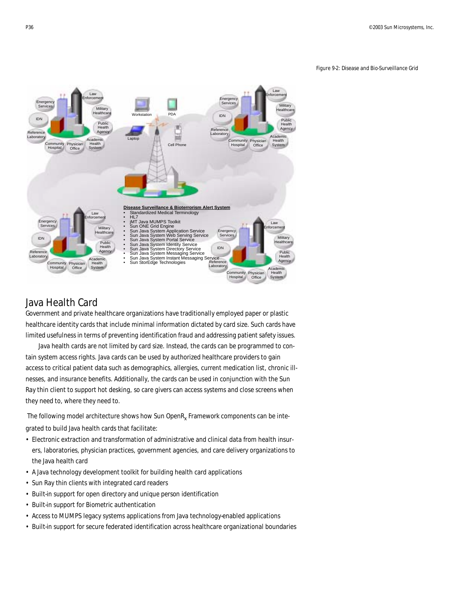#### Figure 9-2: Disease and Bio-Surveillance Grid



### Java Health Card

Government and private healthcare organizations have traditionally employed paper or plastic healthcare identity cards that include minimal information dictated by card size. Such cards have limited usefulness in terms of preventing identification fraud and addressing patient safety issues.

Java health cards are not limited by card size. Instead, the cards can be programmed to contain system access rights. Java cards can be used by authorized healthcare providers to gain access to critical patient data such as demographics, allergies, current medication list, chronic illnesses, and insurance benefits. Additionally, the cards can be used in conjunction with the Sun Ray thin client to support hot desking, so care givers can access systems and close screens when they need to, where they need to.

The following model architecture shows how Sun Open $R<sub>x</sub>$  Framework components can be integrated to build Java health cards that facilitate:

- Electronic extraction and transformation of administrative and clinical data from health insurers, laboratories, physician practices, government agencies, and care delivery organizations to the Java health card
- A Java technology development toolkit for building health card applications
- Sun Ray thin clients with integrated card readers
- Built-in support for open directory and unique person identification
- Built-in support for Biometric authentication
- Access to MUMPS legacy systems applications from Java technology-enabled applications
- Built-in support for secure federated identification across healthcare organizational boundaries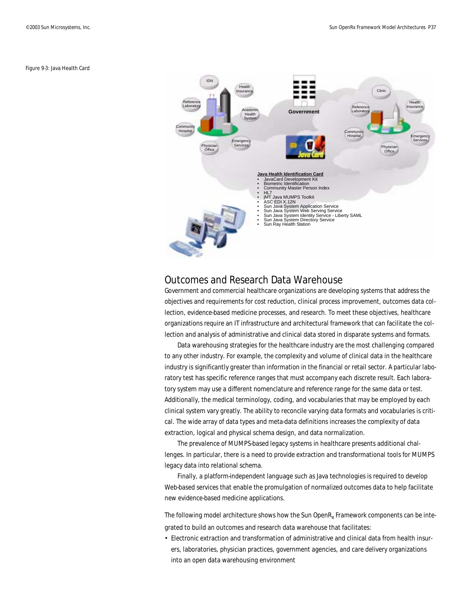Figure 9-3: Java Health Card



#### Outcomes and Research Data Warehouse

Government and commercial healthcare organizations are developing systems that address the objectives and requirements for cost reduction, clinical process improvement, outcomes data collection, evidence-based medicine processes, and research. To meet these objectives, healthcare organizations require an IT infrastructure and architectural framework that can facilitate the collection and analysis of administrative and clinical data stored in disparate systems and formats.

Data warehousing strategies for the healthcare industry are the most challenging compared to any other industry. For example, the complexity and volume of clinical data in the healthcare industry is significantly greater than information in the financial or retail sector. A particular laboratory test has specific reference ranges that must accompany each discrete result. Each laboratory system may use a different nomenclature and reference range for the same data or test. Additionally, the medical terminology, coding, and vocabularies that may be employed by each clinical system vary greatly. The ability to reconcile varying data formats and vocabularies is critical. The wide array of data types and meta-data definitions increases the complexity of data extraction, logical and physical schema design, and data normalization.

The prevalence of MUMPS-based legacy systems in healthcare presents additional challenges. In particular, there is a need to provide extraction and transformational tools for MUMPS legacy data into relational schema.

Finally, a platform-independent language such as Java technologies is required to develop Web-based services that enable the promulgation of normalized outcomes data to help facilitate new evidence-based medicine applications.

The following model architecture shows how the Sun Open $R_x$  Framework components can be integrated to build an outcomes and research data warehouse that facilitates:

• Electronic extraction and transformation of administrative and clinical data from health insurers, laboratories, physician practices, government agencies, and care delivery organizations into an open data warehousing environment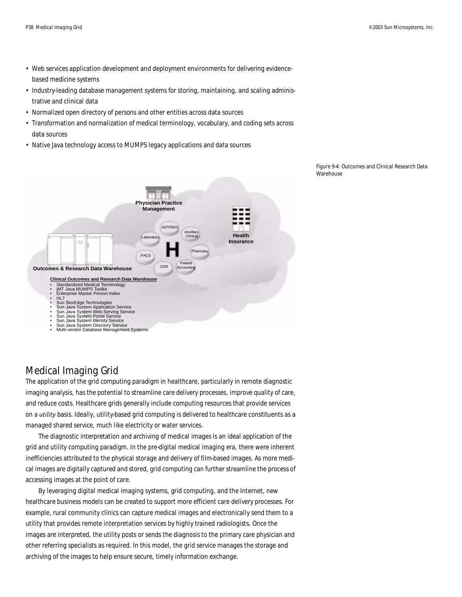- Web services application development and deployment environments for delivering evidencebased medicine systems
- Industry-leading database management systems for storing, maintaining, and scaling administrative and clinical data
- Normalized open directory of persons and other entities across data sources
- Transformation and normalization of medical terminology, vocabulary, and coding sets across data sources
- Native Java technology access to MUMPS legacy applications and data sources



Figure 9-4: Outcomes and Clinical Research Data **Warehouse** 

### Medical Imaging Grid

The application of the grid computing paradigm in healthcare, particularly in remote diagnostic imaging analysis, has the potential to streamline care delivery processes, improve quality of care, and reduce costs. Healthcare grids generally include computing resources that provide services on a *utility* basis. Ideally, utility-based grid computing is delivered to healthcare constituents as a managed shared service, much like electricity or water services.

The diagnostic interpretation and archiving of medical images is an ideal application of the grid and utility computing paradigm. In the pre-digital medical imaging era, there were inherent inefficiencies attributed to the physical storage and delivery of film-based images. As more medical images are digitally captured and stored, grid computing can further streamline the process of accessing images at the point of care.

By leveraging digital medical imaging systems, grid computing, and the Internet, new healthcare business models can be created to support more efficient care delivery processes. For example, rural community clinics can capture medical images and electronically send them to a utility that provides remote interpretation services by highly trained radiologists. Once the images are interpreted, the utility posts or sends the diagnosis to the primary care physician and other referring specialists as required. In this model, the grid service manages the storage and archiving of the images to help ensure secure, timely information exchange.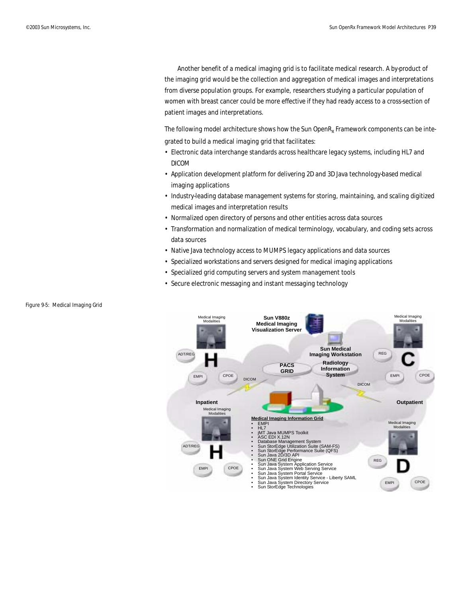Another benefit of a medical imaging grid is to facilitate medical research. A by-product of the imaging grid would be the collection and aggregation of medical images and interpretations from diverse population groups. For example, researchers studying a particular population of women with breast cancer could be more effective if they had ready access to a cross-section of patient images and interpretations.

The following model architecture shows how the Sun OpenR<sub>y</sub> Framework components can be integrated to build a medical imaging grid that facilitates:

- Electronic data interchange standards across healthcare legacy systems, including HL7 and DICOM
- Application development platform for delivering 2D and 3D Java technology-based medical imaging applications
- Industry-leading database management systems for storing, maintaining, and scaling digitized medical images and interpretation results
- Normalized open directory of persons and other entities across data sources
- Transformation and normalization of medical terminology, vocabulary, and coding sets across data sources
- Native Java technology access to MUMPS legacy applications and data sources
- Specialized workstations and servers designed for medical imaging applications
- Specialized grid computing servers and system management tools
- Secure electronic messaging and instant messaging technology



#### Figure 9-5: Medical Imaging Grid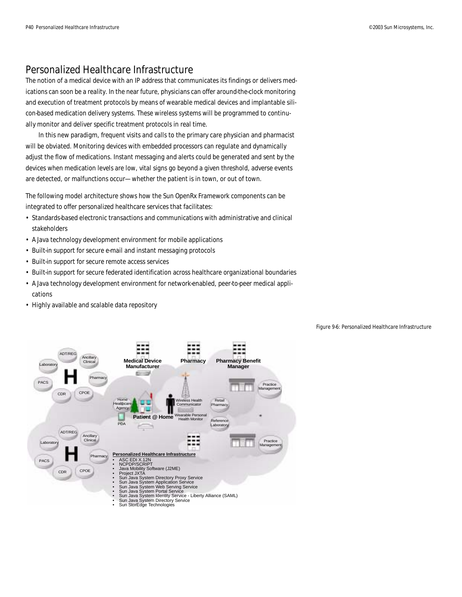#### Personalized Healthcare Infrastructure

The notion of a medical device with an IP address that communicates its findings or delivers medications can soon be a reality. In the near future, physicians can offer around-the-clock monitoring and execution of treatment protocols by means of wearable medical devices and implantable silicon-based medication delivery systems. These wireless systems will be programmed to continually monitor and deliver specific treatment protocols in real time.

In this new paradigm, frequent visits and calls to the primary care physician and pharmacist will be obviated. Monitoring devices with embedded processors can regulate and dynamically adjust the flow of medications. Instant messaging and alerts could be generated and sent by the devices when medication levels are low, vital signs go beyond a given threshold, adverse events are detected, or malfunctions occur—whether the patient is in town, or out of town.

The following model architecture shows how the Sun OpenRx Framework components can be integrated to offer personalized healthcare services that facilitates:

- Standards-based electronic transactions and communications with administrative and clinical stakeholders
- A Java technology development environment for mobile applications
- Built-in support for secure e-mail and instant messaging protocols
- Built-in support for secure remote access services
- Built-in support for secure federated identification across healthcare organizational boundaries
- A Java technology development environment for network-enabled, peer-to-peer medical applications
- Highly available and scalable data repository



#### Figure 9-6: Personalized Healthcare Infrastructure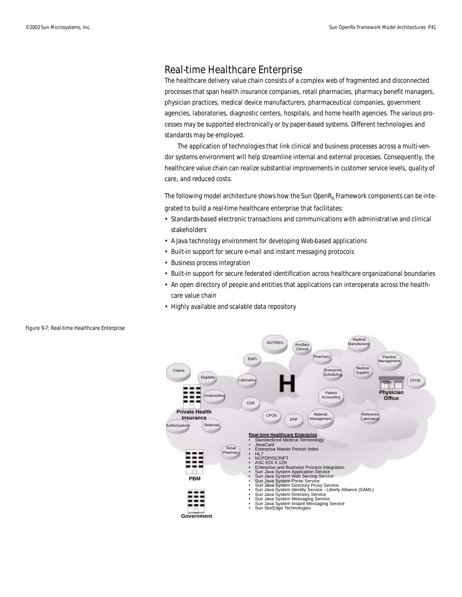### Real-time Healthcare Enterprise

The healthcare delivery value chain consists of a complex web of fragmented and disconnected processes that span health insurance companies, retail pharmacies, pharmacy benefit managers, physician practices, medical device manufacturers, pharmaceutical companies, government agencies, laboratories, diagnostic centers, hospitals, and home health agencies. The various processes may be supported electronically or by paper-based systems. Different technologies and standards may be employed.

The application of technologies that link clinical and business processes across a multi-vendor systems environment will help streamline internal and external processes. Consequently, the healthcare value chain can realize substantial improvements in customer service levels, quality of care, and reduced costs.

The following model architecture shows how the Sun OpenR<sub>y</sub> Framework components can be integrated to build a real-time healthcare enterprise that facilitates:

- Standards-based electronic transactions and communications with administrative and clinical stakeholders
- A Java technology environment for developing Web-based applications
- Built-in support for secure e-mail and instant messaging protocols
- Business process integration
- Built-in support for secure federated identification across healthcare organizational boundaries
- An open directory of people and entities that applications can interoperate across the healthcare value chain
- Highly available and scalable data repository



#### Figure 9-7: Real-time Healthcare Enterprise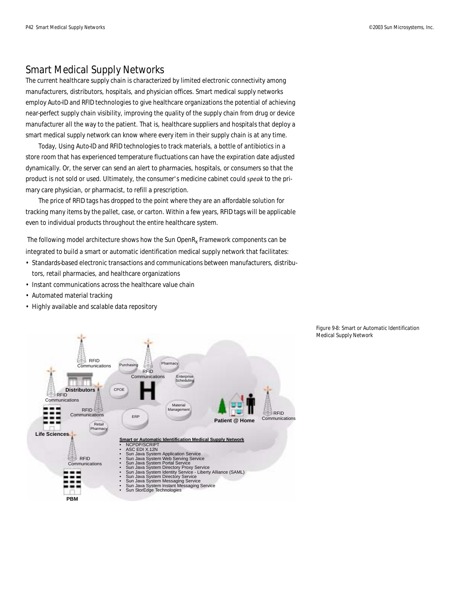### Smart Medical Supply Networks

The current healthcare supply chain is characterized by limited electronic connectivity among manufacturers, distributors, hospitals, and physician offices. Smart medical supply networks employ Auto-ID and RFID technologies to give healthcare organizations the potential of achieving near-perfect supply chain visibility, improving the quality of the supply chain from drug or device manufacturer all the way to the patient. That is, healthcare suppliers and hospitals that deploy a smart medical supply network can know where every item in their supply chain is at any time.

Today, Using Auto-ID and RFID technologies to track materials, a bottle of antibiotics in a store room that has experienced temperature fluctuations can have the expiration date adjusted dynamically. Or, the server can send an alert to pharmacies, hospitals, or consumers so that the product is not sold or used. Ultimately, the consumer's medicine cabinet could *speak* to the primary care physician, or pharmacist, to refill a prescription.

The price of RFID tags has dropped to the point where they are an affordable solution for tracking many items by the pallet, case, or carton. Within a few years, RFID tags will be applicable even to individual products throughout the entire healthcare system.

The following model architecture shows how the Sun Open $R_x$  Framework components can be integrated to build a smart or automatic identification medical supply network that facilitates:

- Standards-based electronic transactions and communications between manufacturers, distributors, retail pharmacies, and healthcare organizations
- Instant communications across the healthcare value chain
- Automated material tracking
- Highly available and scalable data repository



Figure 9-8: Smart or Automatic Identification Medical Supply Network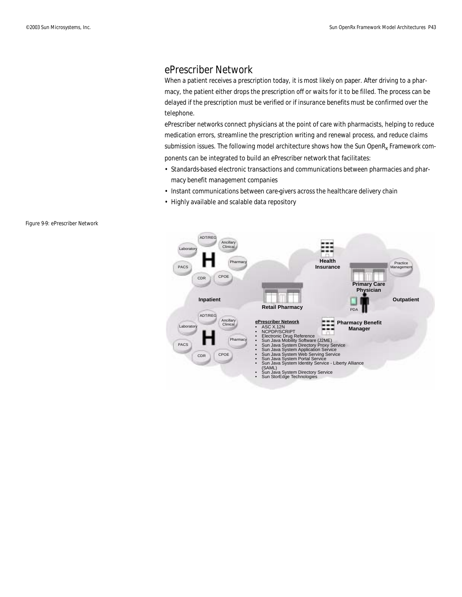#### ePrescriber Network

When a patient receives a prescription today, it is most likely on paper. After driving to a pharmacy, the patient either drops the prescription off or waits for it to be filled. The process can be delayed if the prescription must be verified or if insurance benefits must be confirmed over the telephone.

ePrescriber networks connect physicians at the point of care with pharmacists, helping to reduce medication errors, streamline the prescription writing and renewal process, and reduce claims submission issues. The following model architecture shows how the Sun OpenR<sub>x</sub> Framework components can be integrated to build an ePrescriber network that facilitates:

- Standards-based electronic transactions and communications between pharmacies and pharmacy benefit management companies
- Instant communications between care-givers across the healthcare delivery chain
- Highly available and scalable data repository



#### Figure 9-9: ePrescriber Network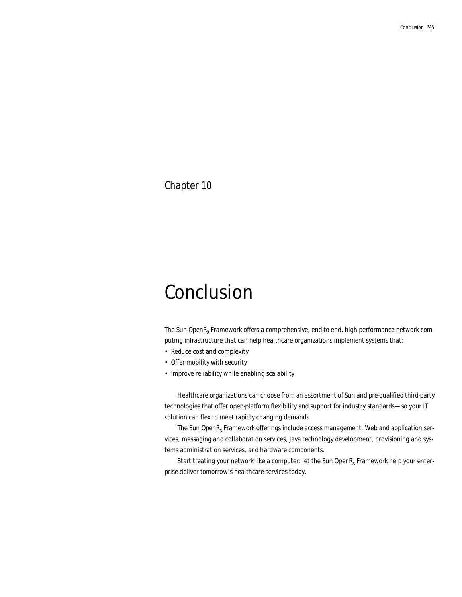Chapter 10

# **Conclusion**

The Sun OpenR<sub>x</sub> Framework offers a comprehensive, end-to-end, high performance network computing infrastructure that can help healthcare organizations implement systems that:

- Reduce cost and complexity
- Offer mobility with security
- Improve reliability while enabling scalability

Healthcare organizations can choose from an assortment of Sun and pre-qualified third-party technologies that offer open-platform flexibility and support for industry standards—so your IT solution can flex to meet rapidly changing demands.

The Sun Open $R<sub>x</sub>$  Framework offerings include access management, Web and application services, messaging and collaboration services, Java technology development, provisioning and systems administration services, and hardware components.

Start treating your network like a computer: let the Sun OpenR<sub>x</sub> Framework help your enterprise deliver tomorrow's healthcare services today.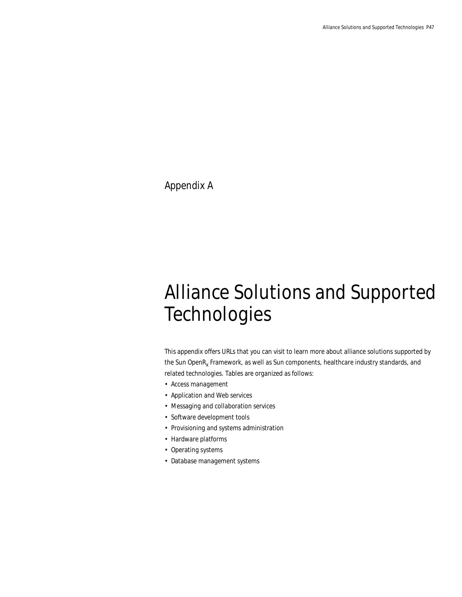Appendix A

# **Alliance Solutions and Supported Technologies**

This appendix offers URLs that you can visit to learn more about alliance solutions supported by the Sun OpenR<sub>x</sub> Framework, as well as Sun components, healthcare industry standards, and related technologies. Tables are organized as follows:

- Access management
- Application and Web services
- Messaging and collaboration services
- Software development tools
- Provisioning and systems administration
- Hardware platforms
- Operating systems
- Database management systems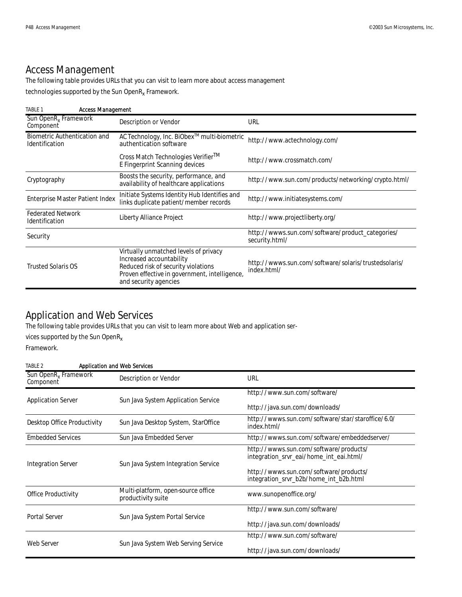### Access Management

The following table provides URLs that you can visit to learn more about access management technologies supported by the Sun Open $R_x$  Framework.

| <b>Access Management</b><br><b>TABLE 1</b>     |                                                                                                                                                                                    |                                                                     |
|------------------------------------------------|------------------------------------------------------------------------------------------------------------------------------------------------------------------------------------|---------------------------------------------------------------------|
| Sun OpenR <sub>x</sub> Framework<br>Component  | <b>Description or Vendor</b>                                                                                                                                                       | <b>URL</b>                                                          |
| Biometric Authentication and<br>Identification | AC Technology, Inc. BiObex <sup>™</sup> multi-biometric<br>authentication software                                                                                                 | http://www.actechnology.com/                                        |
|                                                | Cross Match Technologies Verifier <sup>TM</sup><br>E Fingerprint Scanning devices                                                                                                  | http://www.crossmatch.com/                                          |
| Cryptography                                   | Boosts the security, performance, and<br>availability of healthcare applications                                                                                                   | http://www.sun.com/products/networking/crypto.html/                 |
| Enterprise Master Patient Index                | Initiate Systems Identity Hub Identifies and<br>links duplicate patient/member records                                                                                             | http://www.initiatesystems.com/                                     |
| <b>Federated Network</b><br>Identification     | Liberty Alliance Project                                                                                                                                                           | http://www.projectliberty.org/                                      |
| Security                                       |                                                                                                                                                                                    | http://wwws.sun.com/software/product_categories/<br>security.html/  |
| <b>Trusted Solaris OS</b>                      | Virtually unmatched levels of privacy<br>Increased accountability<br>Reduced risk of security violations<br>Proven effective in government, intelligence,<br>and security agencies | http://wwws.sun.com/software/solaris/trustedsolaris/<br>index.html/ |

### Application and Web Services

The following table provides URLs that you can visit to learn more about Web and application ser-

vices supported by the Sun OpenR<sub>x</sub>

Framework.

| <b>Application and Web Services</b><br><b>TABLE 2</b> |                                                          |                                                                                   |
|-------------------------------------------------------|----------------------------------------------------------|-----------------------------------------------------------------------------------|
| Sun OpenR <sub>x</sub> Framework<br>Component         | <b>Description or Vendor</b>                             | <b>URL</b>                                                                        |
|                                                       |                                                          | http://www.sun.com/software/                                                      |
| <b>Application Server</b>                             | Sun Java System Application Service                      | http://java.sun.com/downloads/                                                    |
| Desktop Office Productivity                           | Sun Java Desktop System, StarOffice                      | http://wwws.sun.com/software/star/staroffice/6.0/<br>index.html/                  |
| <b>Embedded Services</b>                              | Sun Java Embedded Server                                 | http://wwws.sun.com/software/embeddedserver/                                      |
| <b>Integration Server</b>                             | Sun Java System Integration Service                      | http://wwws.sun.com/software/products/<br>integration_srvr_eai/home_int_eai.html/ |
|                                                       |                                                          | http://wwws.sun.com/software/products/<br>integration_srvr_b2b/home_int_b2b.html  |
| <b>Office Productivity</b>                            | Multi-platform, open-source office<br>productivity suite | www.sunopenoffice.org/                                                            |
| Portal Server                                         |                                                          | http://www.sun.com/software/                                                      |
|                                                       | Sun Java System Portal Service                           | http://java.sun.com/downloads/                                                    |
|                                                       |                                                          | http://www.sun.com/software/                                                      |
| <b>Web Server</b>                                     | Sun Java System Web Serving Service                      | http://java.sun.com/downloads/                                                    |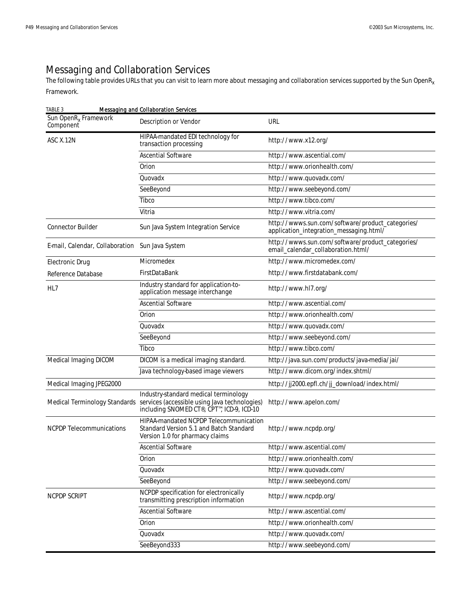## Messaging and Collaboration Services

The following table provides URLs that you can visit to learn more about messaging and collaboration services supported by the Sun OpenR<sub>x</sub> Framework.

| <b>Messaging and Collaboration Services</b><br>TABLE 3 |                                                                                                                                     |                                                                                             |  |
|--------------------------------------------------------|-------------------------------------------------------------------------------------------------------------------------------------|---------------------------------------------------------------------------------------------|--|
| Sun OpenR <sub>x</sub> Framework<br>Component          | <b>Description or Vendor</b>                                                                                                        | <b>URL</b>                                                                                  |  |
| ASC X.12N                                              | HIPAA-mandated EDI technology for<br>transaction processing                                                                         | http://www.x12.org/                                                                         |  |
|                                                        | <b>Ascential Software</b>                                                                                                           | http://www.ascential.com/                                                                   |  |
|                                                        | Orion                                                                                                                               | http://www.orionhealth.com/                                                                 |  |
|                                                        | Quovadx                                                                                                                             | http://www.quovadx.com/                                                                     |  |
|                                                        | SeeBeyond                                                                                                                           | http://www.seebeyond.com/                                                                   |  |
|                                                        | Tibco                                                                                                                               | http://www.tibco.com/                                                                       |  |
|                                                        | Vitria                                                                                                                              | http://www.vitria.com/                                                                      |  |
| <b>Connector Builder</b>                               | Sun Java System Integration Service                                                                                                 | http://wwws.sun.com/software/product_categories/<br>application_integration_messaging.html/ |  |
| E-mail, Calendar, Collaboration                        | Sun Java System                                                                                                                     | http://wwws.sun.com/software/product_categories/<br>email_calendar_collaboration.html/      |  |
| <b>Electronic Drug</b>                                 | Micromedex                                                                                                                          | http://www.micromedex.com/                                                                  |  |
| Reference Database                                     | FirstDataBank                                                                                                                       | http://www.firstdatabank.com/                                                               |  |
| HL7                                                    | Industry standard for application-to-<br>application message interchange                                                            | http://www.hl7.org/                                                                         |  |
|                                                        | <b>Ascential Software</b>                                                                                                           | http://www.ascential.com/                                                                   |  |
|                                                        | Orion                                                                                                                               | http://www.orionhealth.com/                                                                 |  |
|                                                        | Quovadx                                                                                                                             | http://www.quovadx.com/                                                                     |  |
|                                                        | SeeBeyond                                                                                                                           | http://www.seebeyond.com/                                                                   |  |
|                                                        | Tibco                                                                                                                               | http://www.tibco.com/                                                                       |  |
| Medical Imaging DICOM                                  | DICOM is a medical imaging standard.                                                                                                | http://java.sun.com/products/java-media/jai/                                                |  |
|                                                        | Java technology-based image viewers                                                                                                 | http://www.dicom.org/index.shtml/                                                           |  |
| Medical Imaging JPEG2000                               |                                                                                                                                     | http://jj2000.epfl.ch/jj_download/index.html/                                               |  |
| Medical Terminology Standards                          | Industry-standard medical terminology<br>services (accessible using Java technologies)<br>including SNOMED CT®, CPT™, ICD-9, ICD-10 | http://www.apelon.com/                                                                      |  |
| <b>NCPDP Telecommunications</b>                        | HIPAA-mandated NCPDP Telecommunication<br>Standard Version 5.1 and Batch Standard<br>Version 1.0 for pharmacy claims                | http://www.ncpdp.org/                                                                       |  |
|                                                        | Ascential Software                                                                                                                  | http://www.ascential.com/                                                                   |  |
|                                                        | Orion                                                                                                                               | http://www.orionhealth.com/                                                                 |  |
|                                                        | Quovadx                                                                                                                             | http://www.quovadx.com/                                                                     |  |
|                                                        | SeeBeyond                                                                                                                           | http://www.seebeyond.com/                                                                   |  |
| NCPDP SCRIPT                                           | NCPDP specification for electronically<br>transmitting prescription information                                                     | http://www.ncpdp.org/                                                                       |  |
|                                                        | <b>Ascential Software</b>                                                                                                           | http://www.ascential.com/                                                                   |  |
|                                                        | Orion                                                                                                                               | http://www.orionhealth.com/                                                                 |  |
|                                                        | Quovadx                                                                                                                             | http://www.quovadx.com/                                                                     |  |
|                                                        | SeeBeyond333                                                                                                                        | http://www.seebeyond.com/                                                                   |  |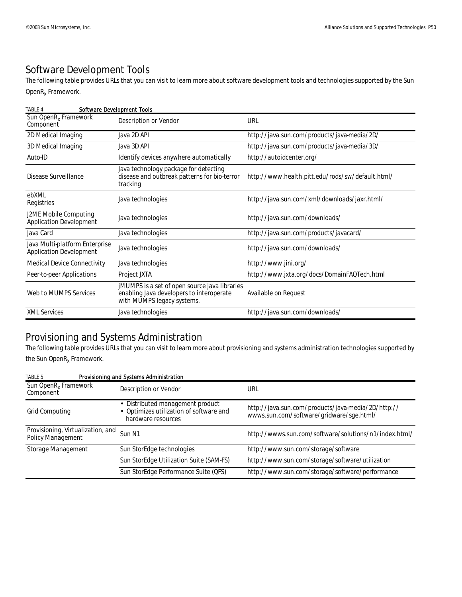## Software Development Tools

The following table provides URLs that you can visit to learn more about software development tools and technologies supported by the Sun OpenR<sub>x</sub> Framework.

| <b>Software Development Tools</b><br><b>TABLE 4</b>              |                                                                                                                         |                                                  |
|------------------------------------------------------------------|-------------------------------------------------------------------------------------------------------------------------|--------------------------------------------------|
| Sun Open $R_x$ Framework<br>Component                            | <b>Description or Vendor</b>                                                                                            | URL                                              |
| 2D Medical Imaging                                               | Java 2D API                                                                                                             | http://java.sun.com/products/java-media/2D/      |
| 3D Medical Imaging                                               | Java 3D API                                                                                                             | http://java.sun.com/products/java-media/3D/      |
| Auto-ID                                                          | Identify devices anywhere automatically                                                                                 | http://autoidcenter.org/                         |
| Disease Surveillance                                             | Java technology package for detecting<br>disease and outbreak patterns for bio-terror<br>tracking                       | http://www.health.pitt.edu/rods/sw/default.html/ |
| ebXML<br>Registries                                              | Java technologies                                                                                                       | http://java.sun.com/xml/downloads/jaxr.html/     |
| J2ME Mobile Computing<br><b>Application Development</b>          | Java technologies                                                                                                       | http://java.sun.com/downloads/                   |
| Java Card                                                        | Java technologies                                                                                                       | http://java.sun.com/products/javacard/           |
| Java Multi-platform Enterprise<br><b>Application Development</b> | Java technologies                                                                                                       | http://java.sun.com/downloads/                   |
| <b>Medical Device Connectivity</b>                               | Java technologies                                                                                                       | http://www.jini.org/                             |
| Peer-to-peer Applications                                        | Project JXTA                                                                                                            | http://www.jxta.org/docs/DomainFAQTech.html      |
| Web to MUMPS Services                                            | jMUMPS is a set of open source Java libraries<br>enabling Java developers to interoperate<br>with MUMPS legacy systems. | Available on Request                             |
| <b>XML Services</b>                                              | Java technologies                                                                                                       | http://java.sun.com/downloads/                   |

## Provisioning and Systems Administration

The following table provides URLs that you can visit to learn more about provisioning and systems administration technologies supported by the Sun Open $R_x$  Framework.

| Provisioning and Systems Administration<br>TABLE 5     |                                                                                                   |                                                                                                |
|--------------------------------------------------------|---------------------------------------------------------------------------------------------------|------------------------------------------------------------------------------------------------|
| Sun OpenR <sub>x</sub> Framework<br>Component          | <b>Description or Vendor</b>                                                                      | url                                                                                            |
| <b>Grid Computing</b>                                  | • Distributed management product<br>• Optimizes utilization of software and<br>hardware resources | http://java.sun.com/products/java-media/2D/http://<br>wwws.sun.com/software/gridware/sge.html/ |
| Provisioning, Virtualization, and<br>Policy Management | Sun N1                                                                                            | http://wwws.sun.com/software/solutions/n1/index.html/                                          |
| Storage Management                                     | Sun StorEdge technologies                                                                         | http://www.sun.com/storage/software                                                            |
|                                                        | Sun StorEdge Utilization Suite (SAM-FS)                                                           | http://www.sun.com/storage/software/utilization                                                |
|                                                        | Sun StorEdge Performance Suite (QFS)                                                              | http://www.sun.com/storage/software/performance                                                |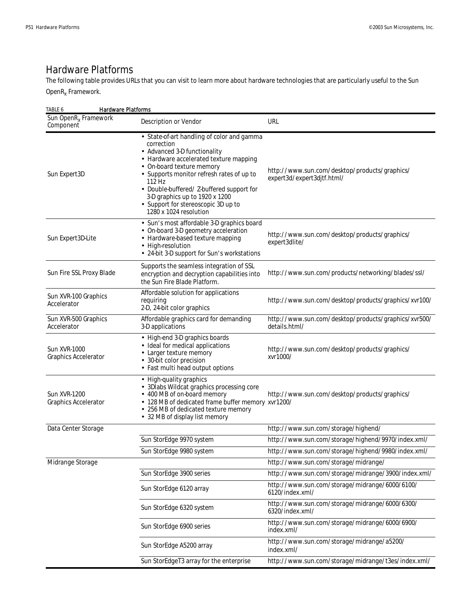## Hardware Platforms

The following table provides URLs that you can visit to learn more about hardware technologies that are particularly useful to the Sun OpenR<sub>x</sub> Framework.

| <b>Hardware Platforms</b><br>TABLE 6                                                                                                                                                                                                                                                                                                                                                   |                                                                                                                                                                                                                                     |                                                                             |  |
|----------------------------------------------------------------------------------------------------------------------------------------------------------------------------------------------------------------------------------------------------------------------------------------------------------------------------------------------------------------------------------------|-------------------------------------------------------------------------------------------------------------------------------------------------------------------------------------------------------------------------------------|-----------------------------------------------------------------------------|--|
| Sun OpenR <sub>x</sub> Framework<br>Component                                                                                                                                                                                                                                                                                                                                          | <b>Description or Vendor</b>                                                                                                                                                                                                        | <b>URL</b>                                                                  |  |
| • State-of-art handling of color and gamma<br>correction<br>• Advanced 3-D functionality<br>• Hardware accelerated texture mapping<br>• On-board texture memory<br>Sun Expert3D<br>• Supports monitor refresh rates of up to<br>112 Hz<br>• Double-buffered/ Z-buffered support for<br>3-D graphics up to 1920 x 1200<br>• Support for stereoscopic 3D up to<br>1280 x 1024 resolution |                                                                                                                                                                                                                                     | http://www.sun.com/desktop/products/graphics/<br>expert3d/expert3djtf.html/ |  |
| Sun Expert3D-Lite                                                                                                                                                                                                                                                                                                                                                                      | • Sun's most affordable 3-D graphics board<br>• On-board 3-D geometry acceleration<br>• Hardware-based texture mapping<br>• High-resolution<br>• 24-bit 3-D support for Sun's workstations                                          | http://www.sun.com/desktop/products/graphics/<br>expert3dlite/              |  |
| Sun Fire SSL Proxy Blade                                                                                                                                                                                                                                                                                                                                                               | Supports the seamless integration of SSL<br>encryption and decryption capabilities into<br>the Sun Fire Blade Platform.                                                                                                             | http://www.sun.com/products/networking/blades/ssl/                          |  |
| Sun XVR-100 Graphics<br>Accelerator                                                                                                                                                                                                                                                                                                                                                    | Affordable solution for applications<br>requiring<br>2-D, 24-bit color graphics                                                                                                                                                     | http://www.sun.com/desktop/products/graphics/xvr100/                        |  |
| Sun XVR-500 Graphics<br>Accelerator                                                                                                                                                                                                                                                                                                                                                    | Affordable graphics card for demanding<br>3-D applications                                                                                                                                                                          | http://www.sun.com/desktop/products/graphics/xvr500/<br>details.html/       |  |
| <b>Sun XVR-1000</b><br>Graphics Accelerator                                                                                                                                                                                                                                                                                                                                            | • High-end 3-D graphics boards<br>· Ideal for medical applications<br>• Larger texture memory<br>• 30-bit color precision<br>• Fast multi head output options                                                                       | http://www.sun.com/desktop/products/graphics/<br>xvr1000/                   |  |
| <b>Sun XVR-1200</b><br>Graphics Accelerator                                                                                                                                                                                                                                                                                                                                            | • High-quality graphics<br>• 3Dlabs Wildcat graphics processing core<br>• 400 MB of on-board memory<br>• 128 MB of dedicated frame buffer memory xvr1200/<br>• 256 MB of dedicated texture memory<br>• 32 MB of display list memory | http://www.sun.com/desktop/products/graphics/                               |  |
| Data Center Storage                                                                                                                                                                                                                                                                                                                                                                    |                                                                                                                                                                                                                                     | http://www.sun.com/storage/highend/                                         |  |
|                                                                                                                                                                                                                                                                                                                                                                                        | Sun StorEdge 9970 system                                                                                                                                                                                                            | http://www.sun.com/storage/highend/9970/index.xml/                          |  |
|                                                                                                                                                                                                                                                                                                                                                                                        | Sun StorEdge 9980 system                                                                                                                                                                                                            | http://www.sun.com/storage/highend/9980/index.xml/                          |  |
| Midrange Storage                                                                                                                                                                                                                                                                                                                                                                       |                                                                                                                                                                                                                                     | http://www.sun.com/storage/midrange/                                        |  |
|                                                                                                                                                                                                                                                                                                                                                                                        | Sun StorEdge 3900 series                                                                                                                                                                                                            | http://www.sun.com/storage/midrange/3900/index.xml/                         |  |
|                                                                                                                                                                                                                                                                                                                                                                                        | Sun StorEdge 6120 array                                                                                                                                                                                                             | http://www.sun.com/storage/midrange/6000/6100/<br>6120/index.xml/           |  |
|                                                                                                                                                                                                                                                                                                                                                                                        | Sun StorEdge 6320 system                                                                                                                                                                                                            | http://www.sun.com/storage/midrange/6000/6300/<br>6320/index.xml/           |  |
|                                                                                                                                                                                                                                                                                                                                                                                        | Sun StorEdge 6900 series                                                                                                                                                                                                            | http://www.sun.com/storage/midrange/6000/6900/<br>index.xml/                |  |
|                                                                                                                                                                                                                                                                                                                                                                                        | Sun StorEdge A5200 array                                                                                                                                                                                                            | http://www.sun.com/storage/midrange/a5200/<br>index.xml/                    |  |
|                                                                                                                                                                                                                                                                                                                                                                                        | Sun StorEdgeT3 array for the enterprise                                                                                                                                                                                             | http://www.sun.com/storage/midrange/t3es/index.xml/                         |  |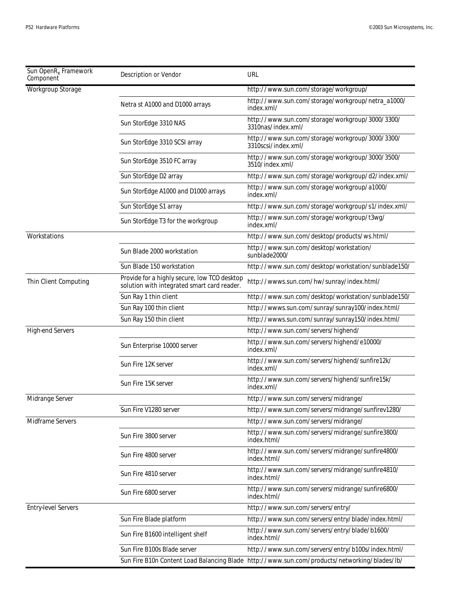| Sun OpenR <sub>x</sub> Framework<br>Component | <b>Description or Vendor</b>                                                                | <b>URL</b>                                                                                   |
|-----------------------------------------------|---------------------------------------------------------------------------------------------|----------------------------------------------------------------------------------------------|
| Workgroup Storage                             |                                                                                             | http://www.sun.com/storage/workgroup/                                                        |
|                                               | Netra st A1000 and D1000 arrays                                                             | http://www.sun.com/storage/workgroup/netra_a1000/<br>index.xml/                              |
|                                               | Sun StorEdge 3310 NAS                                                                       | http://www.sun.com/storage/workgroup/3000/3300/<br>3310nas/index.xml/                        |
|                                               | Sun StorEdge 3310 SCSI array                                                                | http://www.sun.com/storage/workgroup/3000/3300/<br>3310scsi/index.xml/                       |
|                                               | Sun StorEdge 3510 FC array                                                                  | http://www.sun.com/storage/workgroup/3000/3500/<br>3510/index.xml/                           |
|                                               | Sun StorEdge D2 array                                                                       | http://www.sun.com/storage/workgroup/d2/index.xml/                                           |
|                                               | Sun StorEdge A1000 and D1000 arrays                                                         | http://www.sun.com/storage/workgroup/a1000/<br>index.xml/                                    |
|                                               | Sun StorEdge S1 array                                                                       | http://www.sun.com/storage/workgroup/s1/index.xml/                                           |
|                                               | Sun StorEdge T3 for the workgroup                                                           | http://www.sun.com/storage/workgroup/t3wg/<br>index.xml/                                     |
| Workstations                                  |                                                                                             | http://www.sun.com/desktop/products/ws.html/                                                 |
|                                               | Sun Blade 2000 workstation                                                                  | http://www.sun.com/desktop/workstation/<br>sunblade2000/                                     |
|                                               | Sun Blade 150 workstation                                                                   | http://www.sun.com/desktop/workstation/sunblade150/                                          |
| Thin Client Computing                         | Provide for a highly secure, low TCO desktop<br>solution with integrated smart card reader. | http://wwws.sun.com/hw/sunray/index.html/                                                    |
|                                               | Sun Ray 1 thin client                                                                       | http://www.sun.com/desktop/workstation/sunblade150/                                          |
|                                               | Sun Ray 100 thin client                                                                     | http://wwws.sun.com/sunray/sunray100/index.html/                                             |
|                                               | Sun Ray 150 thin client                                                                     | http://wwws.sun.com/sunray/sunray150/index.html/                                             |
| <b>High-end Servers</b>                       |                                                                                             | http://www.sun.com/servers/highend/                                                          |
|                                               | Sun Enterprise 10000 server                                                                 | http://www.sun.com/servers/highend/e10000/<br>index.xml/                                     |
|                                               | Sun Fire 12K server                                                                         | http://www.sun.com/servers/highend/sunfire12k/<br>index.xml/                                 |
|                                               | Sun Fire 15K server                                                                         | http://www.sun.com/servers/highend/sunfire15k/<br>index.xml/                                 |
| Midrange Server                               |                                                                                             | http://www.sun.com/servers/midrange/                                                         |
|                                               | Sun Fire V1280 server                                                                       | http://www.sun.com/servers/midrange/sunfirev1280/                                            |
| Midframe Servers                              |                                                                                             | http://www.sun.com/servers/midrange/                                                         |
|                                               | Sun Fire 3800 server                                                                        | http://www.sun.com/servers/midrange/sunfire3800/<br>index.html/                              |
|                                               | Sun Fire 4800 server                                                                        | http://www.sun.com/servers/midrange/sunfire4800/<br>index.html/                              |
|                                               | Sun Fire 4810 server                                                                        | http://www.sun.com/servers/midrange/sunfire4810/<br>index.html/                              |
|                                               | Sun Fire 6800 server                                                                        | http://www.sun.com/servers/midrange/sunfire6800/<br>index.html/                              |
| <b>Entry-level Servers</b>                    |                                                                                             | http://www.sun.com/servers/entry/                                                            |
|                                               | Sun Fire Blade platform                                                                     | http://www.sun.com/servers/entry/blade/index.html/                                           |
|                                               | Sun Fire B1600 intelligent shelf                                                            | http://www.sun.com/servers/entry/blade/b1600/<br>index.html/                                 |
|                                               | Sun Fire B100s Blade server                                                                 | http://www.sun.com/servers/entry/b100s/index.html/                                           |
|                                               |                                                                                             | Sun Fire B10n Content Load Balancing Blade http://www.sun.com/products/networking/blades/lb/ |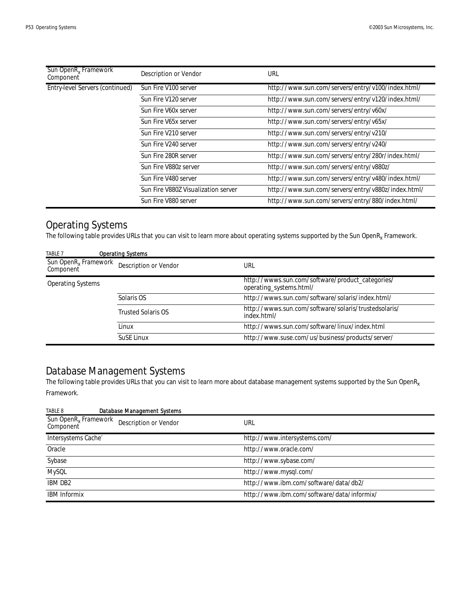| Sun OpenR <sub>x</sub> Framework<br>Component | <b>Description or Vendor</b>        | URL                                                |
|-----------------------------------------------|-------------------------------------|----------------------------------------------------|
| Entry-level Servers (continued)               | Sun Fire V100 server                | http://www.sun.com/servers/entry/v100/index.html/  |
|                                               | Sun Fire V120 server                | http://www.sun.com/servers/entry/v120/index.html/  |
|                                               | Sun Fire V60x server                | http://www.sun.com/servers/entry/v60x/             |
|                                               | Sun Fire V65x server                | http://www.sun.com/servers/entry/v65x/             |
|                                               | Sun Fire V210 server                | http://www.sun.com/servers/entry/v210/             |
|                                               | Sun Fire V240 server                | http://www.sun.com/servers/entry/v240/             |
|                                               | Sun Fire 280R server                | http://www.sun.com/servers/entry/280r/index.html/  |
|                                               | Sun Fire V880z server               | http://www.sun.com/servers/entry/v880z/            |
|                                               | Sun Fire V480 server                | http://www.sun.com/servers/entry/v480/index.html/  |
|                                               | Sun Fire V880Z Visualization server | http://www.sun.com/servers/entry/v880z/index.html/ |
|                                               | Sun Fire V880 server                | http://www.sun.com/servers/entry/880/index.html/   |

## Operating Systems

The following table provides URLs that you can visit to learn more about operating systems supported by the Sun OpenR<sub>x</sub> Framework.

| <b>Operating Systems</b><br><b>TABLE 7</b>    |                              |                                                                             |
|-----------------------------------------------|------------------------------|-----------------------------------------------------------------------------|
| Sun OpenR <sub>x</sub> Framework<br>Component | <b>Description or Vendor</b> | url                                                                         |
| <b>Operating Systems</b>                      |                              | http://wwws.sun.com/software/product_categories/<br>operating_systems.html/ |
|                                               | Solaris OS                   | http://wwws.sun.com/software/solaris/index.html/                            |
|                                               | <b>Trusted Solaris OS</b>    | http://wwws.sun.com/software/solaris/trustedsolaris/<br>index.html/         |
|                                               | Linux                        | http://wwws.sun.com/software/linux/index.html                               |
|                                               | <b>SuSE Linux</b>            | http://www.suse.com/us/business/products/server/                            |

## Database Management Systems

The following table provides URLs that you can visit to learn more about database management systems supported by the Sun OpenR<sub>x</sub> Framework.

| <b>TABLE 8</b>                                | Database Management Systems  |                                            |
|-----------------------------------------------|------------------------------|--------------------------------------------|
| Sun OpenR <sub>x</sub> Framework<br>Component | <b>Description or Vendor</b> | url                                        |
| Intersystems Cache'                           |                              | http://www.intersystems.com/               |
| Oracle                                        |                              | http://www.oracle.com/                     |
| Sybase                                        |                              | http://www.sybase.com/                     |
| <b>MySQL</b>                                  |                              | http://www.mysql.com/                      |
| IBM DB2                                       |                              | http://www.ibm.com/software/data/db2/      |
| <b>IBM Informix</b>                           |                              | http://www.ibm.com/software/data/informix/ |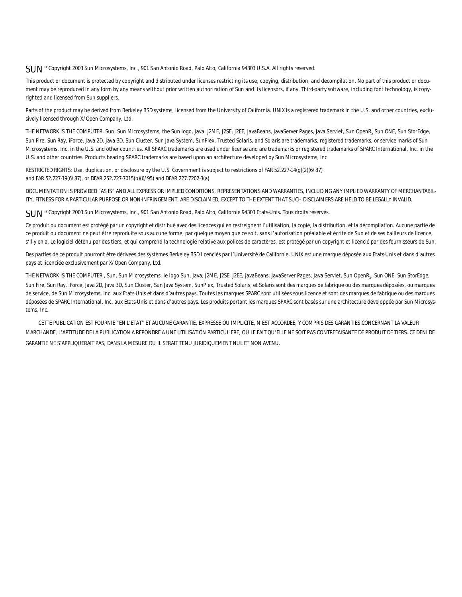#### $\sf SUM^m$ Copyright 2003 Sun Microsystems, Inc., 901 San Antonio Road, Palo Alto, California 94303 U.S.A. All rights reserved.

This product or document is protected by copyright and distributed under licenses restricting its use, copying, distribution, and decompilation. No part of this product or document may be reproduced in any form by any means without prior written authorization of Sun and its licensors, if any. Third-party software, including font technology, is copyrighted and licensed from Sun suppliers.

Parts of the product may be derived from Berkeley BSD systems, licensed from the University of California. UNIX is a registered trademark in the U.S. and other countries, exclusively licensed through X/Open Company, Ltd.

THE NETWORK IS THE COMPUTER, Sun, Sun Microsystems, the Sun logo, Java, J2ME, J2SE, J2EE, JavaBeans, JavaServer Pages, Java Servlet, Sun OpenR, Sun ONE, Sun StorEdge, Sun Fire, Sun Ray, iForce, Java 2D, Java 3D, Sun Cluster, Sun Java System, SunPlex, Trusted Solaris, and Solaris are trademarks, registered trademarks, or service marks of Sun Microsystems, Inc. in the U.S. and other countries. All SPARC trademarks are used under license and are trademarks or registered trademarks of SPARC International, Inc. in the U.S. and other countries. Products bearing SPARC trademarks are based upon an architecture developed by Sun Microsystems, Inc.

RESTRICTED RIGHTS: Use, duplication, or disclosure by the U.S. Government is subject to restrictions of FAR 52.227-14(g)(2)(6/87) and FAR 52.227-19(6/87), or DFAR 252.227-7015(b)(6/95) and DFAR 227.7202-3(a).

DOCUMENTATION IS PROVIDED "AS IS" AND ALL EXPRESS OR IMPLIED CONDITIONS, REPRESENTATIONS AND WARRANTIES, INCLUDING ANY IMPLIED WARRANTY OF MERCHANTABIL-ITY, FITNESS FOR A PARTICULAR PURPOSE OR NON-INFRINGEMENT, ARE DISCLAIMED, EXCEPT TO THE EXTENT THAT SUCH DISCLAIMERS ARE HELD TO BE LEGALLY INVALID.

 $\mathsf{SUM}$  M Copyright 2003 Sun Microsystems, Inc., 901 San Antonio Road, Palo Alto, Californie 94303 Etats-Unis. Tous droits réservés.

Ce produit ou document est protégé par un copyright et distribué avec des licences qui en restreignent l'utilisation, la copie, la distribution, et la décompilation. Aucune partie de ce produit ou document ne peut être reproduite sous aucune forme, par quelque moyen que ce soit, sans l'autorisation préalable et écrite de Sun et de ses bailleurs de licence, s'il y en a. Le logiciel détenu par des tiers, et qui comprend la technologie relative aux polices de caractères, est protégé par un copyright et licencié par des fournisseurs de Sun.

Des parties de ce produit pourront être dérivées des systèmes Berkeley BSD licenciés par l'Université de Californie. UNIX est une marque déposée aux Etats-Unis et dans d'autres pays et licenciée exclusivement par X/Open Company, Ltd.

THE NETWORK IS THE COMPUTER , Sun, Sun Microsystems, le logo Sun, Java, J2ME, J2SE, J2EE, JavaBeans, JavaServer Pages, Java Servlet, Sun OpenRx, Sun ONE, Sun StorEdge, Sun Fire, Sun Ray, iForce, Java 2D, Java 3D, Sun Cluster, Sun Java System, SunPlex, Trusted Solaris, et Solaris sont des marques de fabrique ou des marques déposées, ou marques de service, de Sun Microsystems, Inc. aux Etats-Unis et dans d'autres pays. Toutes les marques SPARC sont utilisées sous licence et sont des marques de fabrique ou des marques déposées de SPARC International, Inc. aux Etats-Unis et dans d'autres pays. Les produits portant les marques SPARC sont basés sur une architecture développée par Sun Microsystems, Inc.

CETTE PUBLICATION EST FOURNIE "EN L'ETAT" ET AUCUNE GARANTIE, EXPRESSE OU IMPLICITE, N'EST ACCORDEE, Y COMPRIS DES GARANTIES CONCERNANT LA VALEUR MARCHANDE, L'APTITUDE DE LA PUBLICATION A REPONDRE A UNE UTILISATION PARTICULIERE, OU LE FAIT QU'ELLE NE SOIT PAS CONTREFAISANTE DE PRODUIT DE TIERS. CE DENI DE GARANTIE NE S'APPLIQUERAIT PAS, DANS LA MESURE OU IL SERAIT TENU JURIDIQUEMENT NUL ET NON AVENU.